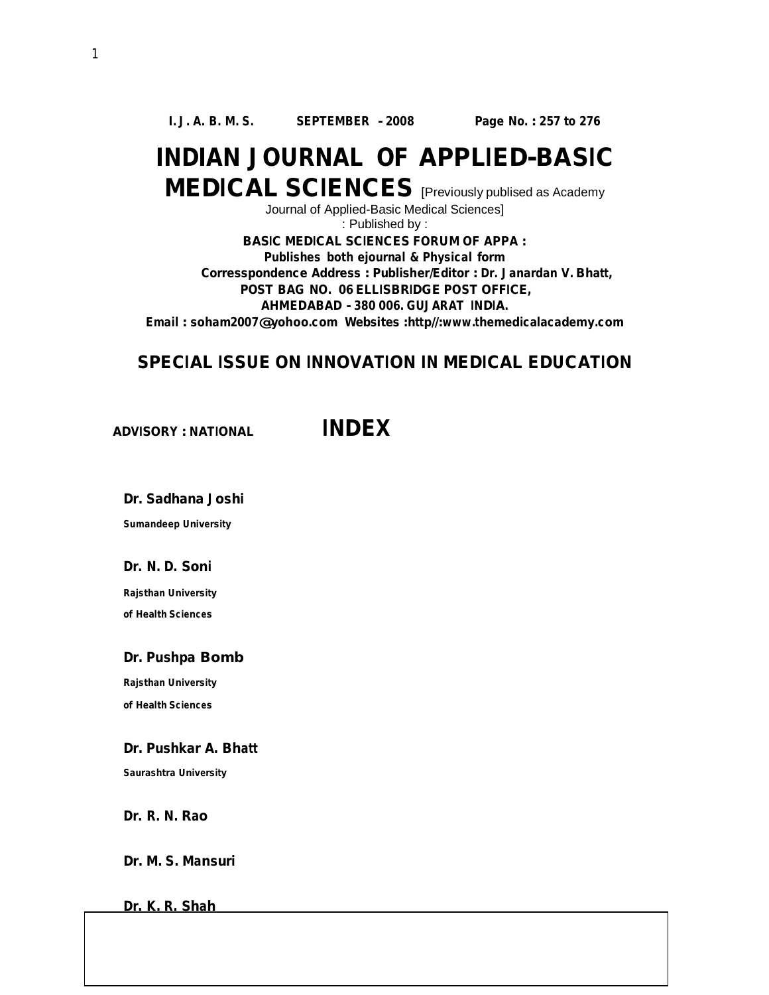# **INDIAN JOURNAL OF APPLIED-BASIC MEDICAL SCIENCES** [Previously publised as Academy

Journal of Applied-Basic Medical Sciences]

: Published by :

**BASIC MEDICAL SCIENCES FORUM OF APPA : Publishes both ejournal & Physical form Corresspondence Address : Publisher/Editor : Dr. Janardan V. Bhatt, POST BAG NO. 06 ELLISBRIDGE POST OFFICE, AHMEDABAD - 380 006. GUJARAT INDIA. Email : [soham2007@yohoo.com](mailto:soham2007@yohoo.com) Websites :http//:[www.themedicalacademy.com](http://www.themedicalacademy.com)**

#### **SPECIAL ISSUE ON INNOVATION IN MEDICAL EDUCATION**

**ADVISORY : NATIONAL INDEX**

**Dr. Sadhana Joshi**

**Sumandeep University**

**Dr. N. D. Soni** 

**Rajsthan University of Health Sciences**

#### **Dr. Pushpa Bomb**

**Rajsthan University of Health Sciences**

**Dr. Pushkar A. Bhatt**

**Saurashtra University**

**Dr. R. N. Rao**

**Dr. M. S. Mansuri**

**Dr. K. R. Shah**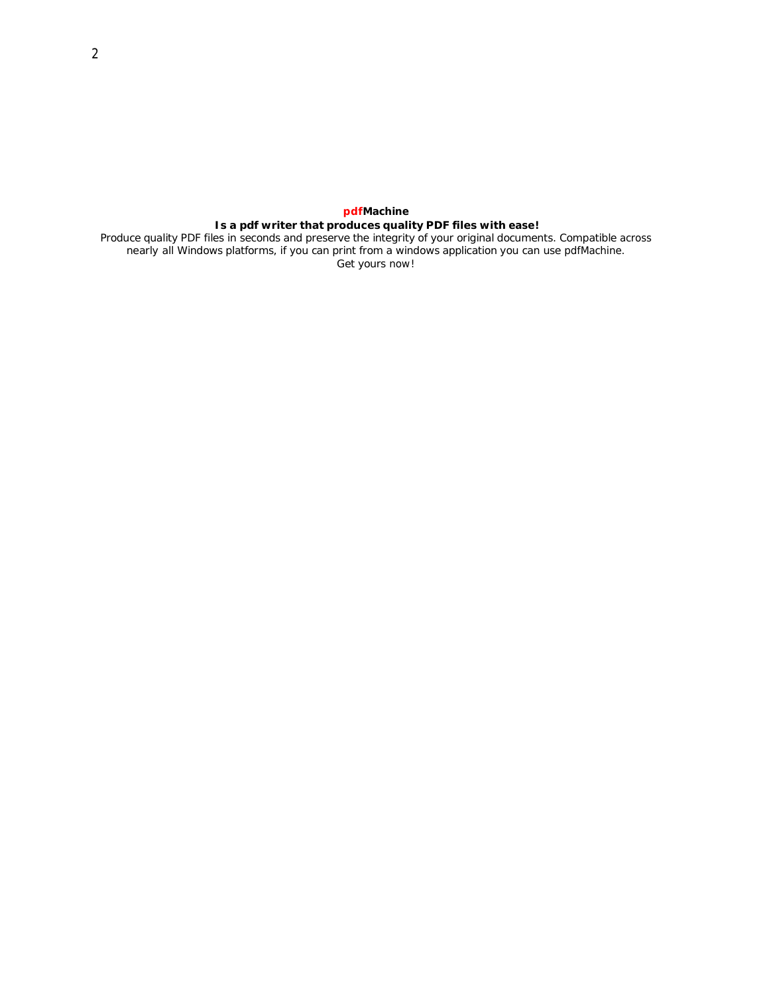### **pdfMachine Is a pdf writer that produces quality PDF files with ease!**

Produce quality PDF files in seconds and preserve the integrity of your original documents. Compatible across nearly all Windows platforms, if you can print from a windows application you can use pdfMachine. Get yours now!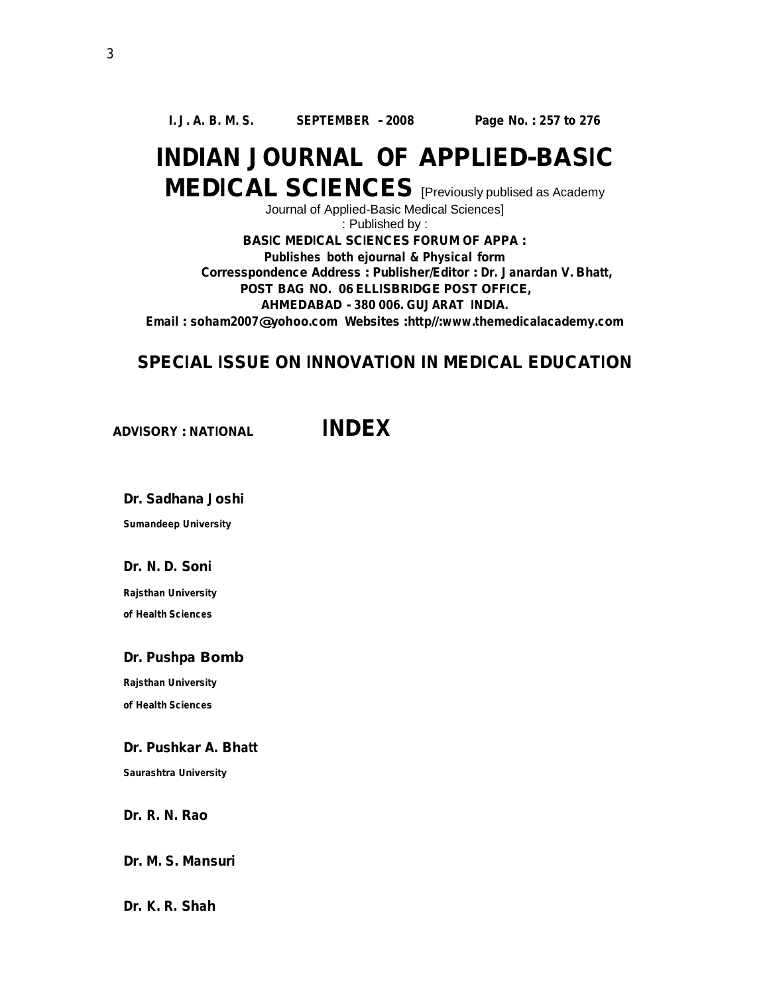# **INDIAN JOURNAL OF APPLIED-BASIC MEDICAL SCIENCES** [Previously publised as Academy

Journal of Applied-Basic Medical Sciences]

: Published by :

**BASIC MEDICAL SCIENCES FORUM OF APPA : Publishes both ejournal & Physical form Corresspondence Address : Publisher/Editor : Dr. Janardan V. Bhatt, POST BAG NO. 06 ELLISBRIDGE POST OFFICE, AHMEDABAD - 380 006. GUJARAT INDIA. Email : [soham2007@yohoo.com](mailto:soham2007@yohoo.com) Websites :http//:[www.themedicalacademy.com](http://www.themedicalacademy.com)**

#### **SPECIAL ISSUE ON INNOVATION IN MEDICAL EDUCATION**

**ADVISORY : NATIONAL INDEX**

**Dr. Sadhana Joshi**

**Sumandeep University**

#### **Dr. N. D. Soni**

**Rajsthan University of Health Sciences**

#### **Dr. Pushpa Bomb**

**Rajsthan University of Health Sciences**

#### **Dr. Pushkar A. Bhatt**

**Saurashtra University**

**Dr. R. N. Rao**

#### **Dr. M. S. Mansuri**

**Dr. K. R. Shah**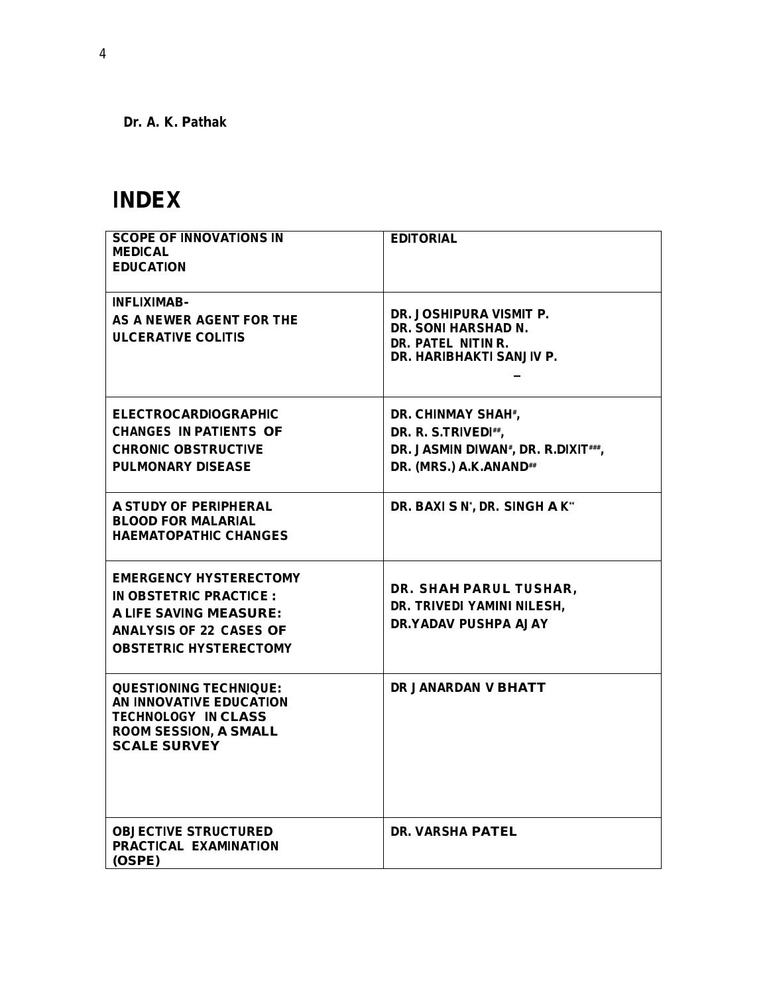**Dr. A. K. Pathak**

# **INDEX**

| <b>SCOPE OF INNOVATIONS IN</b><br><b>MEDICAL</b><br><b>EDUCATION</b>                                                                                         | <b>EDITORIAL</b>                                                                                                                    |
|--------------------------------------------------------------------------------------------------------------------------------------------------------------|-------------------------------------------------------------------------------------------------------------------------------------|
| <b>INFLIXIMAB-</b><br>AS A NEWER AGENT FOR THE<br><b>ULCERATIVE COLITIS</b>                                                                                  | DR. JOSHIPURA VISMIT P.<br><b>DR. SONI HARSHAD N.</b><br>DR. PATEL NITIN R.<br>DR. HARIBHAKTI SANJIV P.                             |
| <b>ELECTROCARDIOGRAPHIC</b><br><b>CHANGES IN PATIENTS OF</b><br><b>CHRONIC OBSTRUCTIVE</b><br><b>PULMONARY DISEASE</b>                                       | DR. CHINMAY SHAH*,<br>DR. R. S.TRIVEDI##,<br>DR. JASMIN DIWAN <sup>#</sup> , DR. R.DIXIT <sup>###</sup> ,<br>DR. (MRS.) A.K.ANAND## |
| A STUDY OF PERIPHERAL<br><b>BLOOD FOR MALARIAL</b><br><b>HAEMATOPATHIC CHANGES</b>                                                                           | DR. BAXI S N', DR. SINGH A K"                                                                                                       |
| <b>EMERGENCY HYSTERECTOMY</b><br>IN OBSTETRIC PRACTICE :<br><b>A LIFE SAVING MEASURE:</b><br><b>ANALYSIS OF 22 CASES OF</b><br><b>OBSTETRIC HYSTERECTOMY</b> | DR. SHAH PARUL TUSHAR,<br>DR. TRIVEDI YAMINI NILESH,<br><b>DR.YADAV PUSHPA AJAY</b>                                                 |
| <b>QUESTIONING TECHNIQUE:</b><br>AN INNOVATIVE EDUCATION<br><b>TECHNOLOGY IN CLASS</b><br><b>ROOM SESSION, A SMALL</b><br><b>SCALE SURVEY</b>                | DR JANARDAN V BHATT                                                                                                                 |
| <b>OBJECTIVE STRUCTURED</b><br><b>PRACTICAL EXAMINATION</b><br>(OSPE)                                                                                        | <b>DR. VARSHA PATEL</b>                                                                                                             |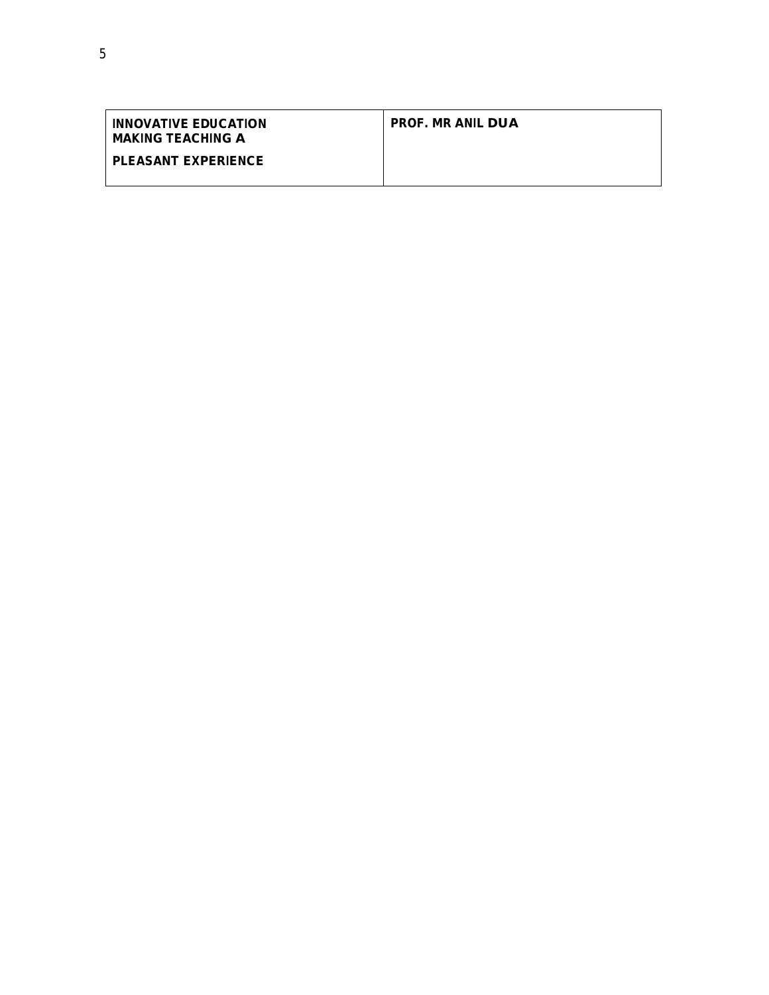| <b>INNOVATIVE EDUCATION</b><br><b>MAKING TEACHING A</b> | <b>PROF. MR ANIL DUA</b> |
|---------------------------------------------------------|--------------------------|
| <b>PLEASANT EXPERIENCE</b>                              |                          |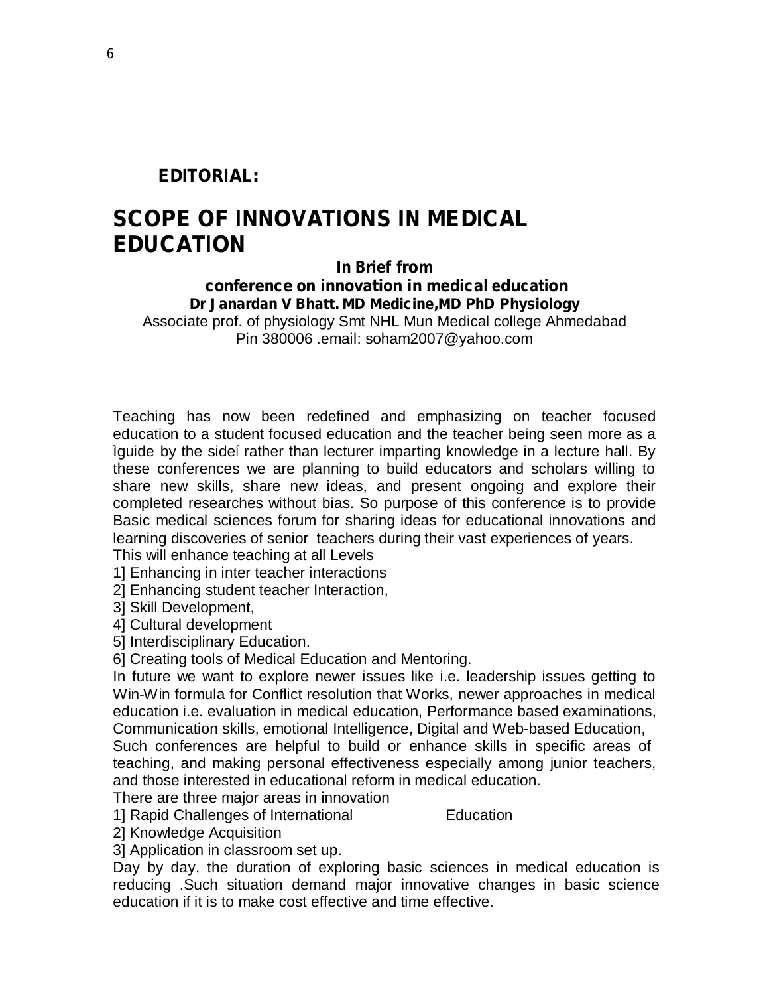# **EDITORIAL:**

# **SCOPE OF INNOVATIONS IN MEDICAL EDUCATION**

# **In Brief from conference on innovation in medical education Dr Janardan V Bhatt. MD Medicine,MD PhD Physiology**

Associate prof. of physiology Smt NHL Mun Medical college Ahmedabad Pin 380006 .email: [soham2007@yahoo.com](mailto:soham2007@yahoo.com)

Teaching has now been redefined and emphasizing on teacher focused education to a student focused education and the teacher being seen more as a ìguide by the sideí rather than lecturer imparting knowledge in a lecture hall. By these conferences we are planning to build educators and scholars willing to share new skills, share new ideas, and present ongoing and explore their completed researches without bias. So purpose of this conference is to provide Basic medical sciences forum for sharing ideas for educational innovations and learning discoveries of senior teachers during their vast experiences of years. This will enhance teaching at all Levels

1] Enhancing in inter teacher interactions

2] Enhancing student teacher Interaction,

3] Skill Development,

4] Cultural development

5] Interdisciplinary Education.

6] Creating tools of Medical Education and Mentoring.

In future we want to explore newer issues like i.e. leadership issues getting to Win-Win formula for Conflict resolution that Works, newer approaches in medical education i.e. evaluation in medical education, Performance based examinations, Communication skills, emotional Intelligence, Digital and Web-based Education, Such conferences are helpful to build or enhance skills in specific areas of teaching, and making personal effectiveness especially among junior teachers, and those interested in educational reform in medical education.

There are three major areas in innovation

1] Rapid Challenges of International Education

2] Knowledge Acquisition

3] Application in classroom set up.

Day by day, the duration of exploring basic sciences in medical education is reducing .Such situation demand major innovative changes in basic science education if it is to make cost effective and time effective.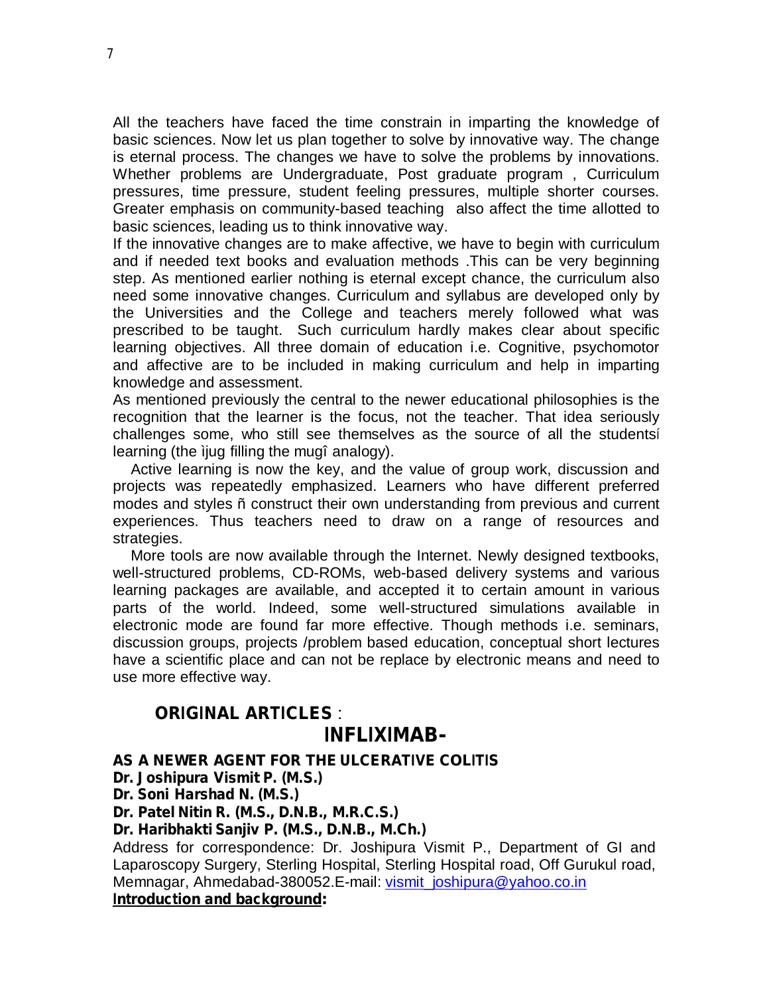All the teachers have faced the time constrain in imparting the knowledge of basic sciences. Now let us plan together to solve by innovative way. The change is eternal process. The changes we have to solve the problems by innovations. Whether problems are Undergraduate, Post graduate program , Curriculum pressures, time pressure, student feeling pressures, multiple shorter courses. Greater emphasis on community-based teaching also affect the time allotted to basic sciences, leading us to think innovative way.

If the innovative changes are to make affective, we have to begin with curriculum and if needed text books and evaluation methods .This can be very beginning step. As mentioned earlier nothing is eternal except chance, the curriculum also need some innovative changes. Curriculum and syllabus are developed only by the Universities and the College and teachers merely followed what was prescribed to be taught. Such curriculum hardly makes clear about specific learning objectives. All three domain of education i.e. Cognitive, psychomotor and affective are to be included in making curriculum and help in imparting knowledge and assessment.

As mentioned previously the central to the newer educational philosophies is the recognition that the learner is the focus, not the teacher. That idea seriously challenges some, who still see themselves as the source of all the studentsí learning (the ìjug filling the mugî analogy).

Active learning is now the key, and the value of group work, discussion and projects was repeatedly emphasized. Learners who have different preferred modes and styles ñ construct their own understanding from previous and current experiences. Thus teachers need to draw on a range of resources and strategies.

More tools are now available through the Internet. Newly designed textbooks, well-structured problems, CD-ROMs, web-based delivery systems and various learning packages are available, and accepted it to certain amount in various parts of the world. Indeed, some well-structured simulations available in electronic mode are found far more effective. Though methods i.e. seminars, discussion groups, projects /problem based education, conceptual short lectures have a scientific place and can not be replace by electronic means and need to use more effective way.

# **ORIGINAL ARTICLES** : **INFLIXIMAB-**

**AS A NEWER AGENT FOR THE ULCERATIVE COLITIS** 

**Dr. Joshipura Vismit P. (M.S.)**

**Dr. Soni Harshad N. (M.S.)**

**Dr. Patel Nitin R. (M.S., D.N.B., M.R.C.S.)**

**Dr. Haribhakti Sanjiv P. (M.S., D.N.B., M.Ch.)**

Address for correspondence: Dr. Joshipura Vismit P., Department of GI and Laparoscopy Surgery, Sterling Hospital, Sterling Hospital road, Off Gurukul road, Memnagar, Ahmedabad-380052.E-mail: [vismit\\_joshipura@yahoo.co.in](mailto:vismit_joshipura@yahoo.co.in)

**Introduction and background:**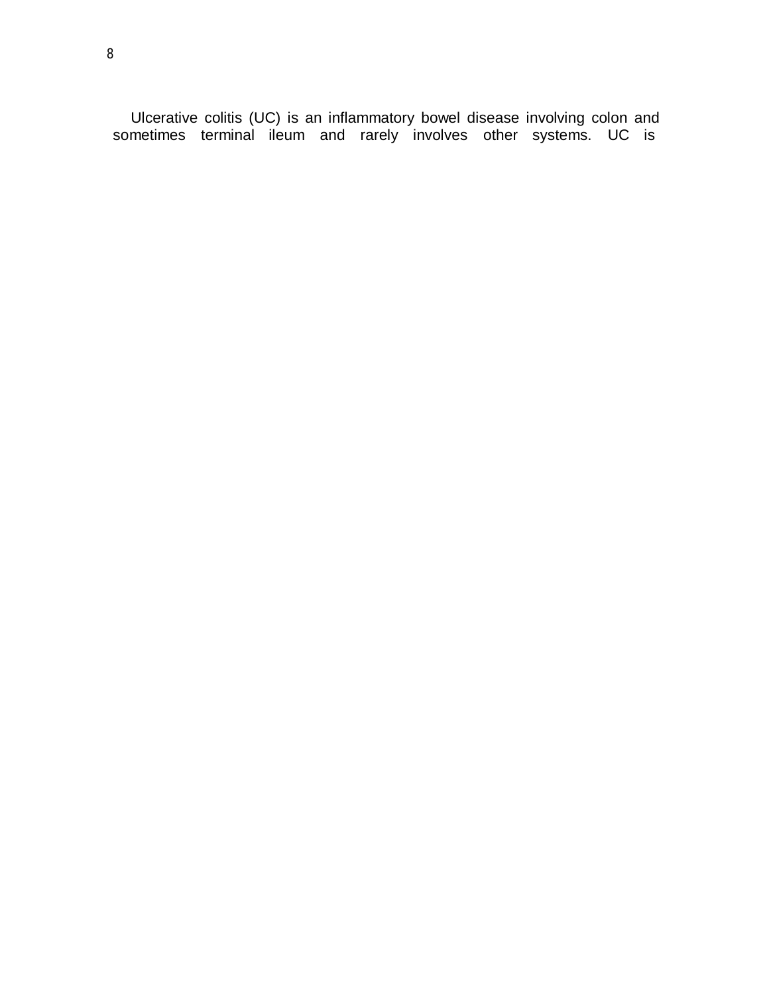Ulcerative colitis (UC) is an inflammatory bowel disease involving colon and sometimes terminal ileum and rarely involves other systems. UC is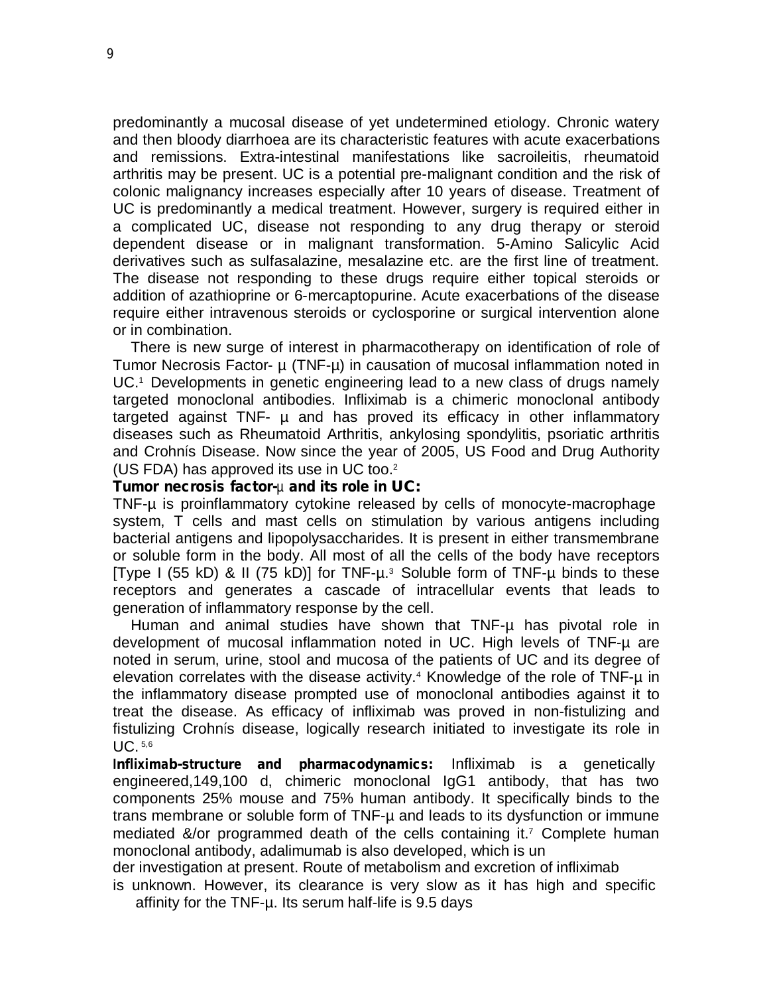predominantly a mucosal disease of yet undetermined etiology. Chronic watery and then bloody diarrhoea are its characteristic features with acute exacerbations and remissions. Extra-intestinal manifestations like sacroileitis, rheumatoid arthritis may be present. UC is a potential pre-malignant condition and the risk of colonic malignancy increases especially after 10 years of disease. Treatment of UC is predominantly a medical treatment. However, surgery is required either in a complicated UC, disease not responding to any drug therapy or steroid dependent disease or in malignant transformation. 5-Amino Salicylic Acid derivatives such as sulfasalazine, mesalazine etc. are the first line of treatment. The disease not responding to these drugs require either topical steroids or addition of azathioprine or 6-mercaptopurine. Acute exacerbations of the disease require either intravenous steroids or cyclosporine or surgical intervention alone or in combination.

There is new surge of interest in pharmacotherapy on identification of role of Tumor Necrosis Factor-  $\mu$  (TNF- $\mu$ ) in causation of mucosal inflammation noted in UC. <sup>1</sup>Developments in genetic engineering lead to a new class of drugs namely targeted monoclonal antibodies. Infliximab is a chimeric monoclonal antibody targeted against TNF- µ and has proved its efficacy in other inflammatory diseases such as Rheumatoid Arthritis, ankylosing spondylitis, psoriatic arthritis and Crohnís Disease. Now since the year of 2005, US Food and Drug Authority (US FDA) has approved its use in UC too.<sup>2</sup>

#### **Tumor necrosis factor-**µ **and its role in UC:**

TNF-µ is proinflammatory cytokine released by cells of monocyte-macrophage system, T cells and mast cells on stimulation by various antigens including bacterial antigens and lipopolysaccharides. It is present in either transmembrane or soluble form in the body. All most of all the cells of the body have receptors [Type I (55 kD) & II (75 kD)] for TNF-µ.3 Soluble form of TNF-µ binds to these receptors and generates a cascade of intracellular events that leads to generation of inflammatory response by the cell.

Human and animal studies have shown that TNF-µ has pivotal role in development of mucosal inflammation noted in UC. High levels of TNF-µ are noted in serum, urine, stool and mucosa of the patients of UC and its degree of elevation correlates with the disease activity.<sup>4</sup> Knowledge of the role of TNF-µ in the inflammatory disease prompted use of monoclonal antibodies against it to treat the disease. As efficacy of infliximab was proved in non-fistulizing and fistulizing Crohnís disease, logically research initiated to investigate its role in UC. 5,6

**Infliximab-structure and pharmacodynamics:** Infliximab is a genetically engineered,149,100 d, chimeric monoclonal IgG1 antibody, that has two components 25% mouse and 75% human antibody. It specifically binds to the trans membrane or soluble form of TNF-µ and leads to its dysfunction or immune mediated &/or programmed death of the cells containing it.7 Complete human monoclonal antibody, adalimumab is also developed, which is un

der investigation at present. Route of metabolism and excretion of infliximab

is unknown. However, its clearance is very slow as it has high and specific affinity for the TNF-µ. Its serum half-life is 9.5 days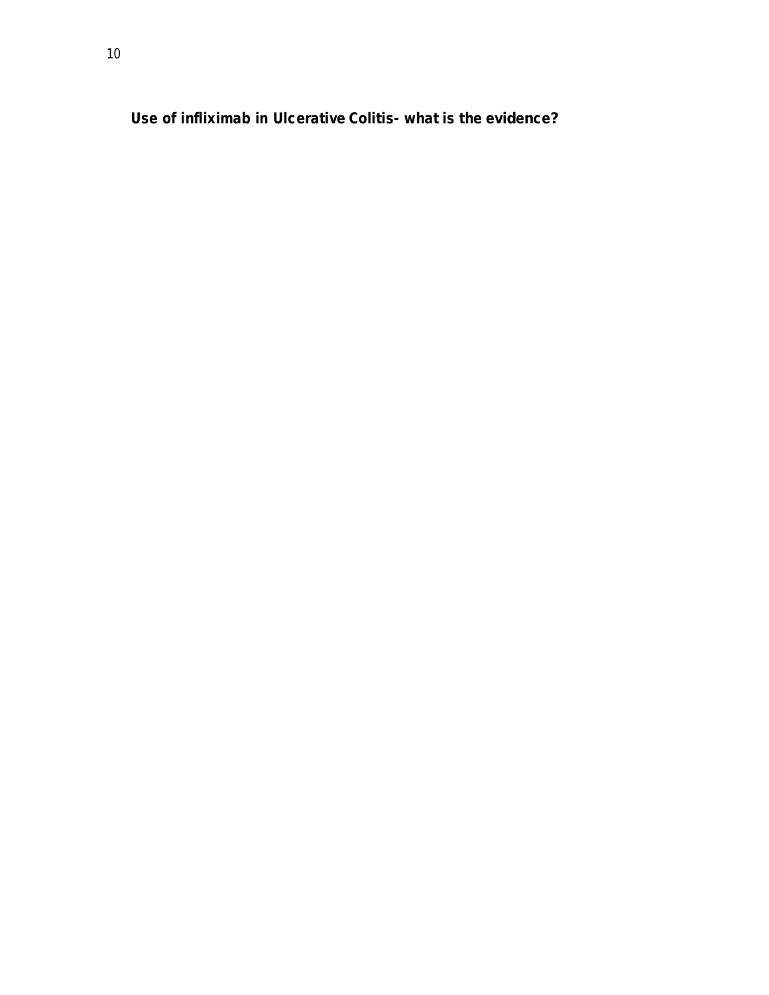**Use of infliximab in Ulcerative Colitis- what is the evidence?**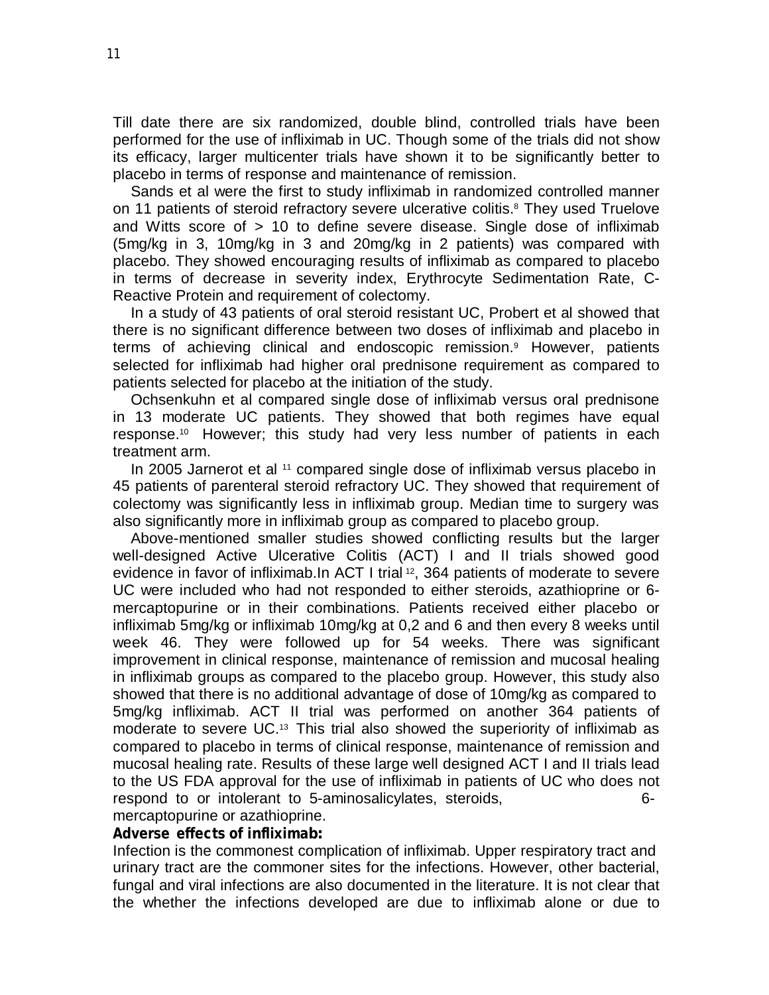Till date there are six randomized, double blind, controlled trials have been performed for the use of infliximab in UC. Though some of the trials did not show its efficacy, larger multicenter trials have shown it to be significantly better to placebo in terms of response and maintenance of remission.

Sands et al were the first to study infliximab in randomized controlled manner on 11 patients of steroid refractory severe ulcerative colitis. <sup>8</sup>They used Truelove and Witts score of > 10 to define severe disease. Single dose of infliximab (5mg/kg in 3, 10mg/kg in 3 and 20mg/kg in 2 patients) was compared with placebo. They showed encouraging results of infliximab as compared to placebo in terms of decrease in severity index, Erythrocyte Sedimentation Rate, C-Reactive Protein and requirement of colectomy.

In a study of 43 patients of oral steroid resistant UC, Probert et al showed that there is no significant difference between two doses of infliximab and placebo in terms of achieving clinical and endoscopic remission.<sup>9</sup> However, patients selected for infliximab had higher oral prednisone requirement as compared to patients selected for placebo at the initiation of the study.

Ochsenkuhn et al compared single dose of infliximab versus oral prednisone in 13 moderate UC patients. They showed that both regimes have equal response.10 However; this study had very less number of patients in each treatment arm.

In 2005 Jarnerot et al <sup>11</sup> compared single dose of infliximab versus placebo in 45 patients of parenteral steroid refractory UC. They showed that requirement of colectomy was significantly less in infliximab group. Median time to surgery was also significantly more in infliximab group as compared to placebo group.

Above-mentioned smaller studies showed conflicting results but the larger well-designed Active Ulcerative Colitis (ACT) I and II trials showed good evidence in favor of infliximab.In ACT I trial 12 , 364 patients of moderate to severe UC were included who had not responded to either steroids, azathioprine or 6 mercaptopurine or in their combinations. Patients received either placebo or infliximab 5mg/kg or infliximab 10mg/kg at 0,2 and 6 and then every 8 weeks until week 46. They were followed up for 54 weeks. There was significant improvement in clinical response, maintenance of remission and mucosal healing in infliximab groups as compared to the placebo group. However, this study also showed that there is no additional advantage of dose of 10mg/kg as compared to 5mg/kg infliximab. ACT II trial was performed on another 364 patients of moderate to severe UC.<sup>13</sup> This trial also showed the superiority of infliximab as compared to placebo in terms of clinical response, maintenance of remission and mucosal healing rate. Results of these large well designed ACT I and II trials lead to the US FDA approval for the use of infliximab in patients of UC who does not respond to or intolerant to 5-aminosalicylates, steroids, measured to the 6mercaptopurine or azathioprine.

#### **Adverse effects of infliximab:**

Infection is the commonest complication of infliximab. Upper respiratory tract and urinary tract are the commoner sites for the infections. However, other bacterial, fungal and viral infections are also documented in the literature. It is not clear that the whether the infections developed are due to infliximab alone or due to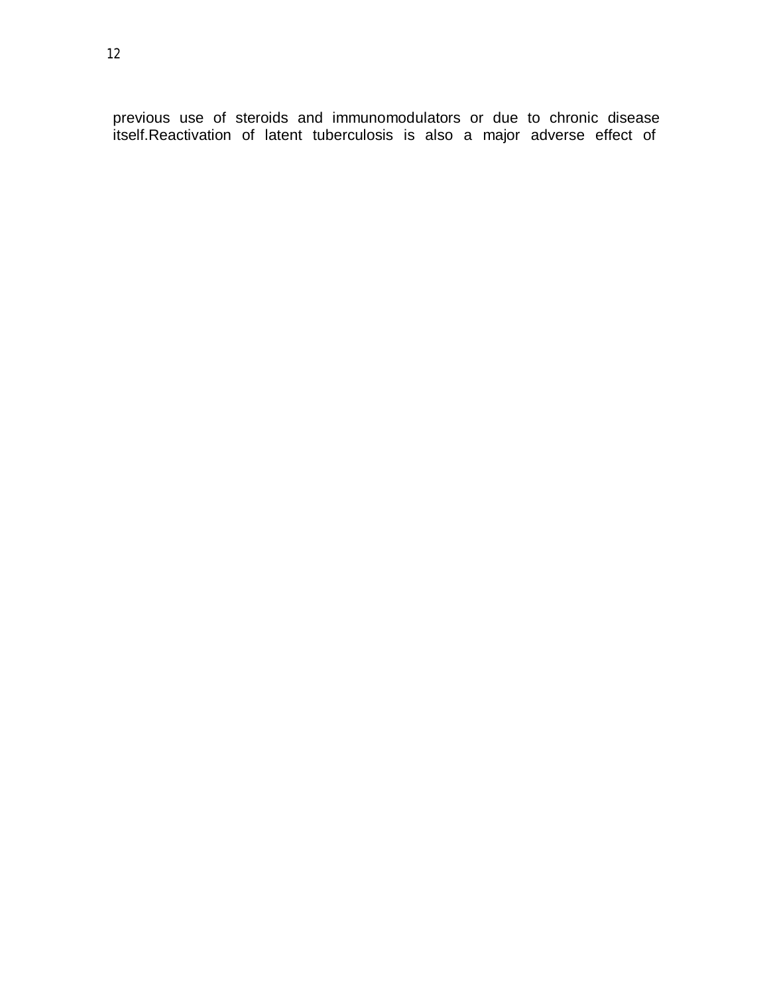previous use of steroids and immunomodulators or due to chronic disease itself.Reactivation of latent tuberculosis is also a major adverse effect of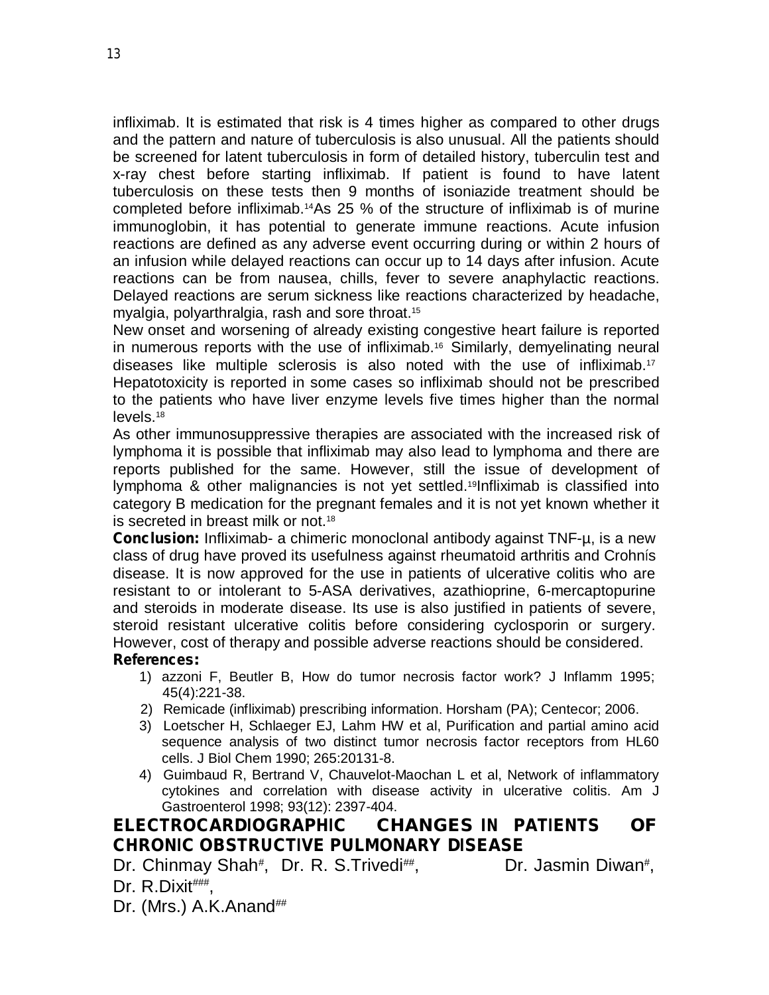infliximab. It is estimated that risk is 4 times higher as compared to other drugs and the pattern and nature of tuberculosis is also unusual. All the patients should be screened for latent tuberculosis in form of detailed history, tuberculin test and x-ray chest before starting infliximab. If patient is found to have latent tuberculosis on these tests then 9 months of isoniazide treatment should be completed before infliximab.14As 25 % of the structure of infliximab is of murine immunoglobin, it has potential to generate immune reactions. Acute infusion reactions are defined as any adverse event occurring during or within 2 hours of an infusion while delayed reactions can occur up to 14 days after infusion. Acute reactions can be from nausea, chills, fever to severe anaphylactic reactions. Delayed reactions are serum sickness like reactions characterized by headache, myalgia, polyarthralgia, rash and sore throat. 15

New onset and worsening of already existing congestive heart failure is reported in numerous reports with the use of infliximab.<sup>16</sup> Similarly, demyelinating neural diseases like multiple sclerosis is also noted with the use of infliximab.<sup>17</sup> Hepatotoxicity is reported in some cases so infliximab should not be prescribed to the patients who have liver enzyme levels five times higher than the normal levels. 18

As other immunosuppressive therapies are associated with the increased risk of lymphoma it is possible that infliximab may also lead to lymphoma and there are reports published for the same. However, still the issue of development of lymphoma & other malignancies is not yet settled.<sup>19</sup>Infliximab is classified into category B medication for the pregnant females and it is not yet known whether it is secreted in breast milk or not.<sup>18</sup>

**Conclusion:** Infliximab- a chimeric monoclonal antibody against TNF-µ, is a new class of drug have proved its usefulness against rheumatoid arthritis and Crohnís disease. It is now approved for the use in patients of ulcerative colitis who are resistant to or intolerant to 5-ASA derivatives, azathioprine, 6-mercaptopurine and steroids in moderate disease. Its use is also justified in patients of severe, steroid resistant ulcerative colitis before considering cyclosporin or surgery. However, cost of therapy and possible adverse reactions should be considered. **References:**

- 1) azzoni F, Beutler B, How do tumor necrosis factor work? J Inflamm 1995; 45(4):221-38.
- 2) Remicade (infliximab) prescribing information. Horsham (PA); Centecor; 2006.
- 3) Loetscher H, Schlaeger EJ, Lahm HW et al, Purification and partial amino acid sequence analysis of two distinct tumor necrosis factor receptors from HL60 cells. J Biol Chem 1990; 265:20131-8.
- 4) Guimbaud R, Bertrand V, Chauvelot-Maochan L et al, Network of inflammatory cytokines and correlation with disease activity in ulcerative colitis. Am J Gastroenterol 1998; 93(12): 2397-404.

# **ELECTROCARDIOGRAPHIC CHANGES IN PATIENTS OF CHRONIC OBSTRUCTIVE PULMONARY DISEASE**

Dr. Chinmay Shah<sup>#</sup>, Dr. R. S.Trivedi<sup>##</sup> , Dr. Jasmin Diwan# , Dr. R.Dixit###,

Dr. (Mrs.) A.K.Anand<sup>##</sup>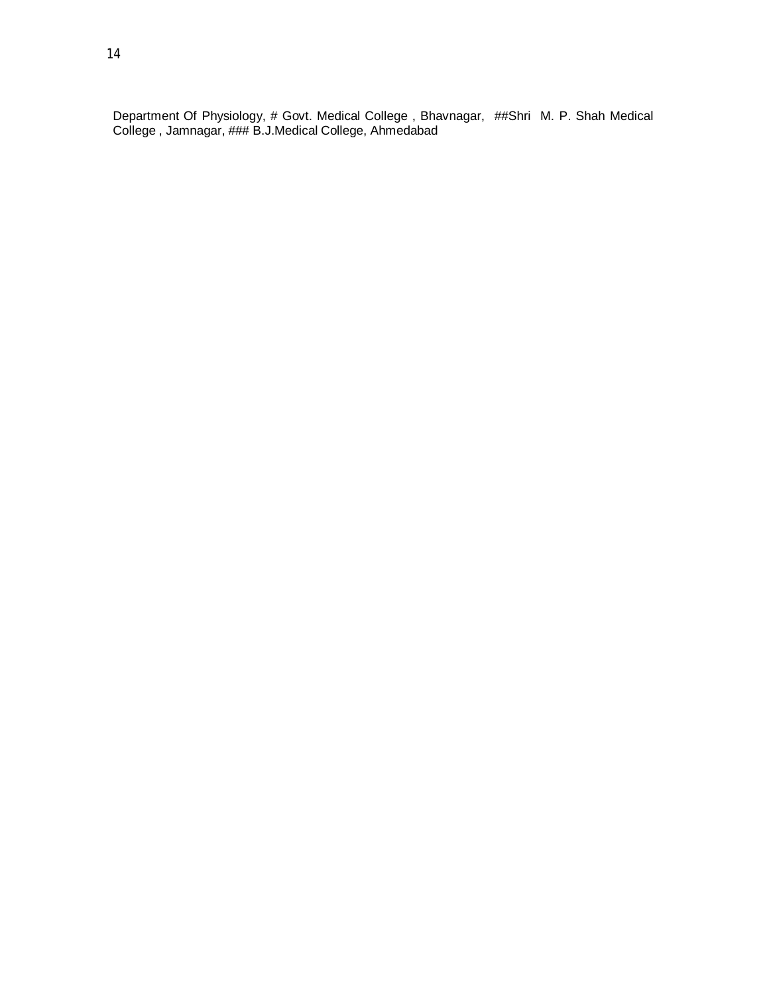Department Of Physiology, # Govt. Medical College , Bhavnagar, ##Shri M. P. Shah Medical College , Jamnagar, ### B.J.Medical College, Ahmedabad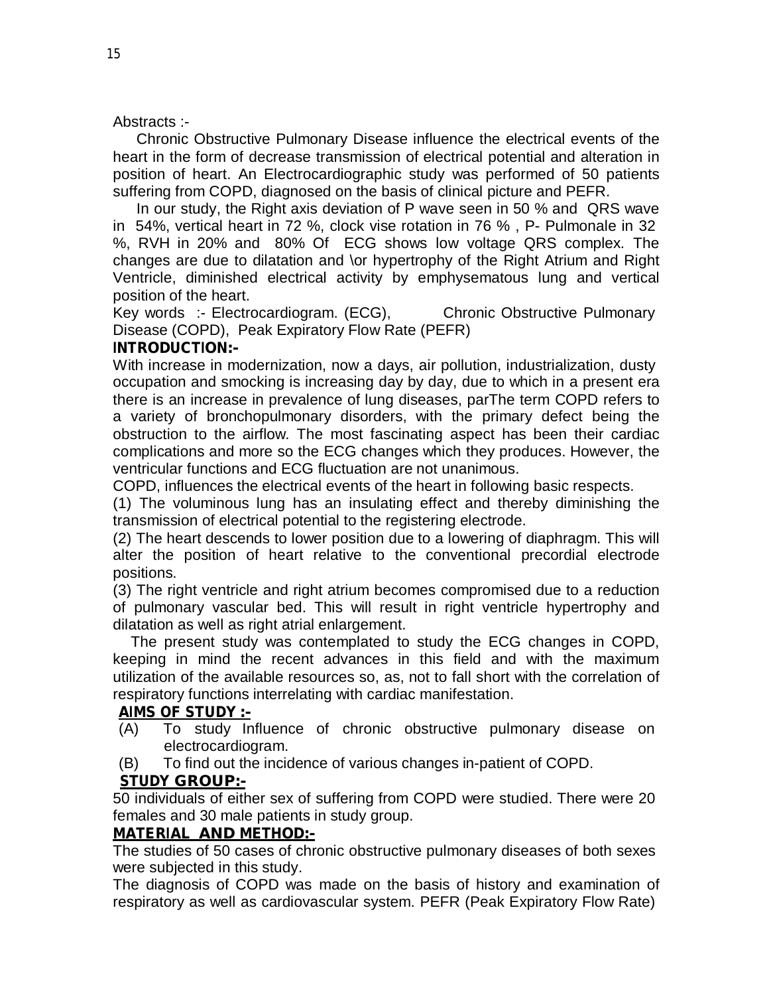#### Abstracts :-

Chronic Obstructive Pulmonary Disease influence the electrical events of the heart in the form of decrease transmission of electrical potential and alteration in position of heart. An Electrocardiographic study was performed of 50 patients suffering from COPD, diagnosed on the basis of clinical picture and PEFR.

In our study, the Right axis deviation of P wave seen in 50 % and QRS wave in 54%, vertical heart in 72 %, clock vise rotation in 76 % , P- Pulmonale in 32 %, RVH in 20% and 80% Of ECG shows low voltage QRS complex. The changes are due to dilatation and \or hypertrophy of the Right Atrium and Right Ventricle, diminished electrical activity by emphysematous lung and vertical position of the heart.

Key words :- Electrocardiogram. (ECG), Chronic Obstructive Pulmonary Disease (COPD), Peak Expiratory Flow Rate (PEFR)

#### **INTRODUCTION:-**

With increase in modernization, now a days, air pollution, industrialization, dusty occupation and smocking is increasing day by day, due to which in a present era there is an increase in prevalence of lung diseases, parThe term COPD refers to a variety of bronchopulmonary disorders, with the primary defect being the obstruction to the airflow. The most fascinating aspect has been their cardiac complications and more so the ECG changes which they produces. However, the ventricular functions and ECG fluctuation are not unanimous.

COPD, influences the electrical events of the heart in following basic respects.

(1) The voluminous lung has an insulating effect and thereby diminishing the transmission of electrical potential to the registering electrode.

(2) The heart descends to lower position due to a lowering of diaphragm. This will alter the position of heart relative to the conventional precordial electrode positions.

(3) The right ventricle and right atrium becomes compromised due to a reduction of pulmonary vascular bed. This will result in right ventricle hypertrophy and dilatation as well as right atrial enlargement.

The present study was contemplated to study the ECG changes in COPD, keeping in mind the recent advances in this field and with the maximum utilization of the available resources so, as, not to fall short with the correlation of respiratory functions interrelating with cardiac manifestation.

# **AIMS OF STUDY :-**

- (A) To study Influence of chronic obstructive pulmonary disease on electrocardiogram.
- (B) To find out the incidence of various changes in-patient of COPD.

#### **STUDY GROUP:-**

50 individuals of either sex of suffering from COPD were studied. There were 20 females and 30 male patients in study group.

#### **MATERIAL AND METHOD:-**

The studies of 50 cases of chronic obstructive pulmonary diseases of both sexes were subjected in this study.

The diagnosis of COPD was made on the basis of history and examination of respiratory as well as cardiovascular system. PEFR (Peak Expiratory Flow Rate)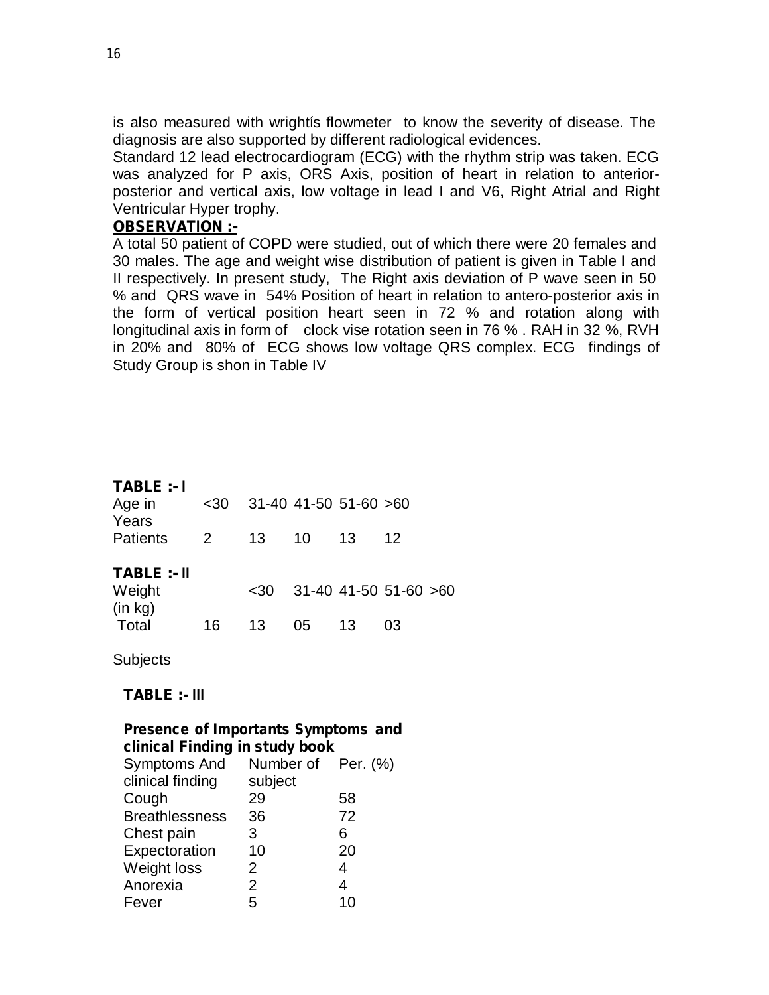is also measured with wrightís flowmeter to know the severity of disease. The diagnosis are also supported by different radiological evidences.

Standard 12 lead electrocardiogram (ECG) with the rhythm strip was taken. ECG was analyzed for P axis, ORS Axis, position of heart in relation to anteriorposterior and vertical axis, low voltage in lead I and V6, Right Atrial and Right Ventricular Hyper trophy.

### **OBSERVATION :-**

A total 50 patient of COPD were studied, out of which there were 20 females and 30 males. The age and weight wise distribution of patient is given in Table I and II respectively. In present study, The Right axis deviation of P wave seen in 50 % and QRS wave in 54% Position of heart in relation to antero-posterior axis in the form of vertical position heart seen in 72 % and rotation along with longitudinal axis in form of clock vise rotation seen in 76 % . RAH in 32 %, RVH in 20% and 80% of ECG shows low voltage QRS complex. ECG findings of Study Group is shon in Table IV

#### **TABLE :- <sup>I</sup>**

| Age in<br>Years   | $30$           |      | 31-40 41-50 51-60 >60 |    |                           |  |
|-------------------|----------------|------|-----------------------|----|---------------------------|--|
| <b>Patients</b>   | $\overline{2}$ | 13   | 10                    | 13 | 12                        |  |
| TABLE :- II       |                |      |                       |    |                           |  |
| Weight<br>(in kg) |                | $30$ |                       |    | $31-40$ 41-50 51-60 $>60$ |  |
| Total             | 16             | 13   | 05.                   | 13 | 03                        |  |

**Subjects** 

#### **TABLE :- III**

#### **Presence of Importants Symptoms and clinical Finding in study book**

| omnoar rinamig in staat book |                    |                |
|------------------------------|--------------------|----------------|
| Symptoms And                 | Number of Per. (%) |                |
| clinical finding             | subject            |                |
| Cough                        | 29                 | 58             |
| <b>Breathlessness</b>        | 36                 | 72             |
| Chest pain                   | 3                  | 6              |
| Expectoration                | 10                 | 20             |
| Weight loss                  | 2                  | $\overline{4}$ |
| Anorexia                     | $\overline{2}$     | 4              |
| Fever                        | 5                  | 10             |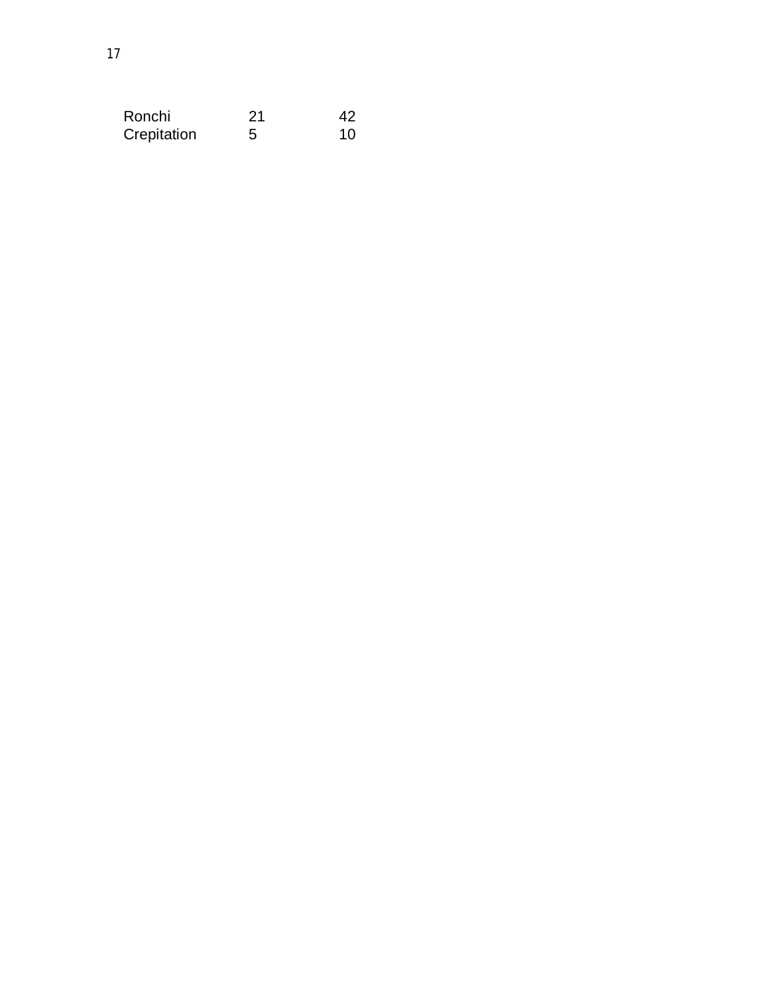| Ronchi      | 21 | 42 |
|-------------|----|----|
| Crepitation | 5  | 10 |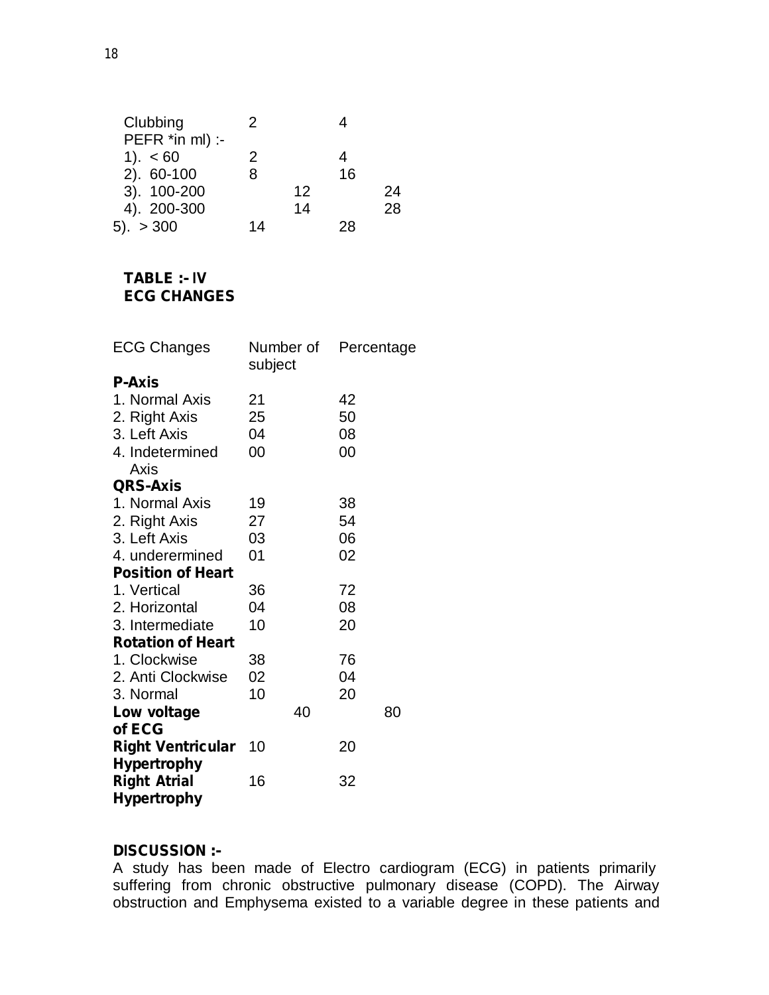| 2  |    |    |    |
|----|----|----|----|
|    |    |    |    |
| 2  |    |    |    |
| 8  |    | 16 |    |
|    | 12 |    | 24 |
|    | 14 |    | 28 |
| 14 |    | 28 |    |
|    |    |    |    |

# **TABLE :- IV ECG CHANGES**

| <b>ECG Changes</b>       | Number of<br>subject | Percentage |
|--------------------------|----------------------|------------|
| <b>P-Axis</b>            |                      |            |
| 1. Normal Axis           | 21                   | 42         |
| 2. Right Axis            | 25                   | 50         |
| 3. Left Axis             | 04                   | 08         |
| 4. Indetermined          | 00                   | 00         |
| Axis                     |                      |            |
| <b>QRS-Axis</b>          |                      |            |
| 1. Normal Axis           | 19                   | 38         |
| 2. Right Axis            | 27                   | 54         |
| 3. Left Axis             | 03                   | 06         |
| 4. underermined          | 01                   | 02         |
| <b>Position of Heart</b> |                      |            |
| 1. Vertical              | 36                   | 72         |
| 2. Horizontal            | 04                   | 08         |
| 3. Intermediate          | 10                   | 20         |
| <b>Rotation of Heart</b> |                      |            |
| 1. Clockwise             | 38                   | 76         |
| 2. Anti Clockwise        | 02                   | 04         |
| 3. Normal                | 10                   | 20         |
| Low voltage              | 40                   | 80         |
| of ECG                   |                      |            |
| <b>Right Ventricular</b> | 10                   | 20         |
| <b>Hypertrophy</b>       |                      |            |
| <b>Right Atrial</b>      | 16                   | 32         |
| <b>Hypertrophy</b>       |                      |            |

#### **DISCUSSION :-**

A study has been made of Electro cardiogram (ECG) in patients primarily suffering from chronic obstructive pulmonary disease (COPD). The Airway obstruction and Emphysema existed to a variable degree in these patients and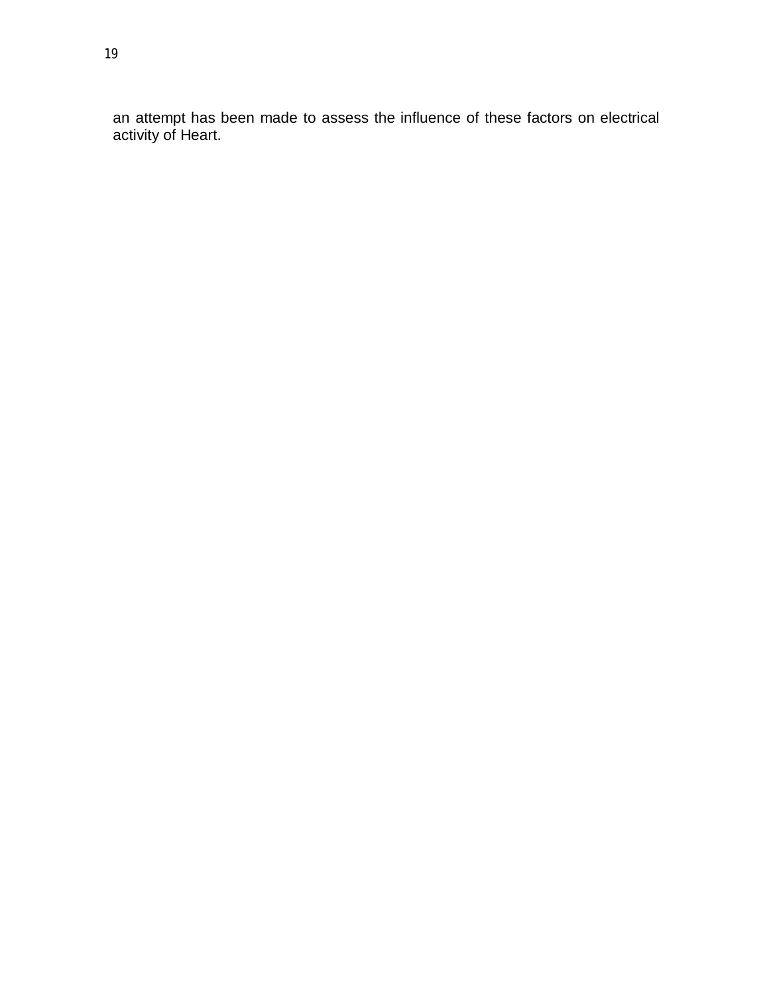an attempt has been made to assess the influence of these factors on electrical activity of Heart.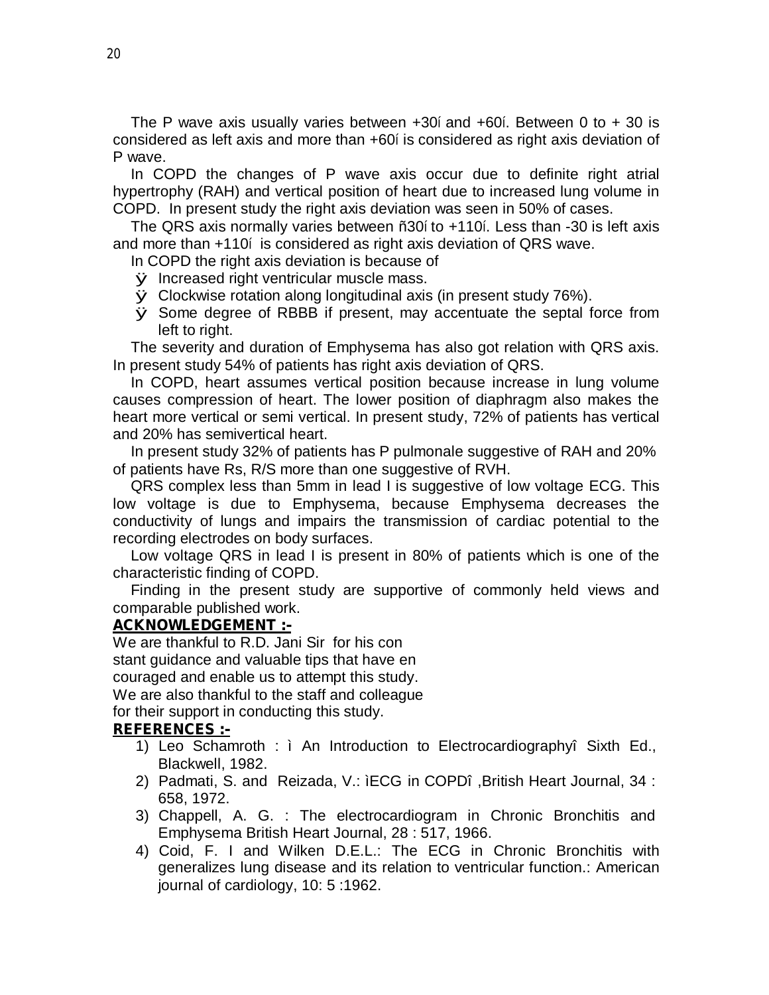The P wave axis usually varies between +30í and +60í. Between 0 to + 30 is considered as left axis and more than +60í is considered as right axis deviation of P wave.

In COPD the changes of P wave axis occur due to definite right atrial hypertrophy (RAH) and vertical position of heart due to increased lung volume in COPD. In present study the right axis deviation was seen in 50% of cases.

The QRS axis normally varies between ñ30í to +110í. Less than -30 is left axis and more than +110í is considered as right axis deviation of QRS wave.

In COPD the right axis deviation is because of

- ÿ Increased right ventricular muscle mass.
- ÿ Clockwise rotation along longitudinal axis (in present study 76%).
- ÿ Some degree of RBBB if present, may accentuate the septal force from left to right.

The severity and duration of Emphysema has also got relation with QRS axis. In present study 54% of patients has right axis deviation of QRS.

In COPD, heart assumes vertical position because increase in lung volume causes compression of heart. The lower position of diaphragm also makes the heart more vertical or semi vertical. In present study, 72% of patients has vertical and 20% has semivertical heart.

In present study 32% of patients has P pulmonale suggestive of RAH and 20% of patients have Rs, R/S more than one suggestive of RVH.

QRS complex less than 5mm in lead I is suggestive of low voltage ECG. This low voltage is due to Emphysema, because Emphysema decreases the conductivity of lungs and impairs the transmission of cardiac potential to the recording electrodes on body surfaces.

Low voltage QRS in lead I is present in 80% of patients which is one of the characteristic finding of COPD.

Finding in the present study are supportive of commonly held views and comparable published work.

#### **ACKNOWLEDGEMENT :-**

We are thankful to R.D. Jani Sir for his con stant guidance and valuable tips that have en couraged and enable us to attempt this study. We are also thankful to the staff and colleague for their support in conducting this study.

#### **REFERENCES :-**

- 1) Leo Schamroth : ì An Introduction to Electrocardiographyî Sixth Ed., Blackwell, 1982.
- 2) Padmati, S. and Reizada, V.: ìECG in COPDî ,British Heart Journal, 34 : 658, 1972.
- 3) Chappell, A. G. : The electrocardiogram in Chronic Bronchitis and Emphysema British Heart Journal, 28 : 517, 1966.
- 4) Coid, F. I and Wilken D.E.L.: The ECG in Chronic Bronchitis with generalizes lung disease and its relation to ventricular function.: American journal of cardiology, 10: 5 :1962.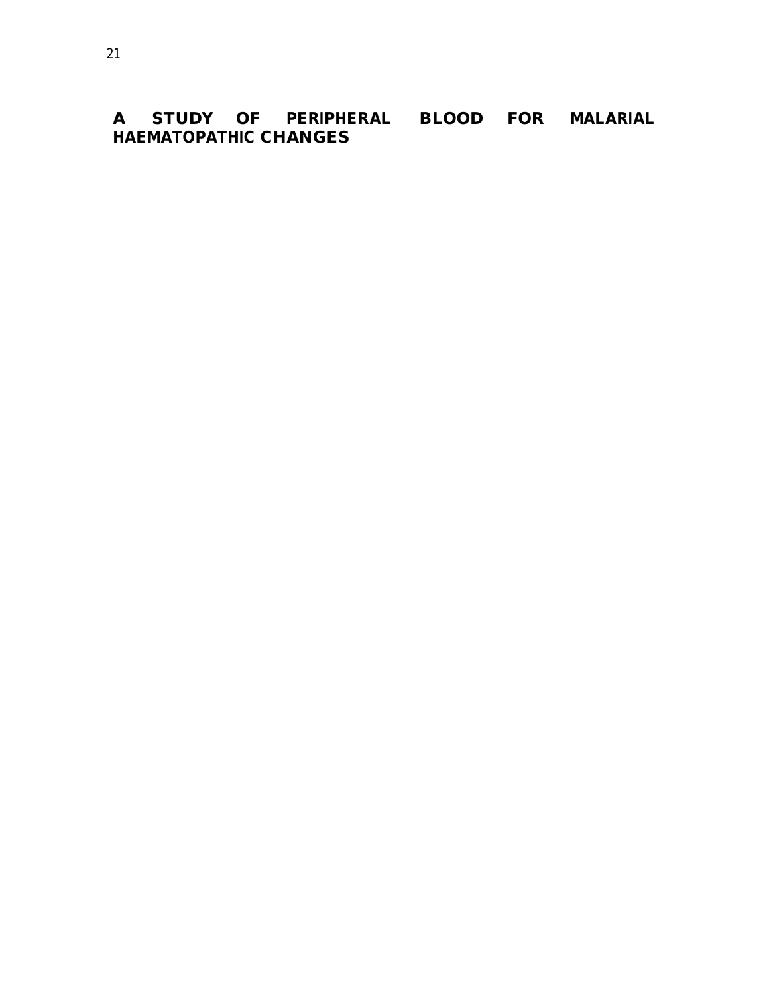**A STUDY OF PERIPHERAL BLOOD FOR MALARIAL HAEMATOPATHIC CHANGES**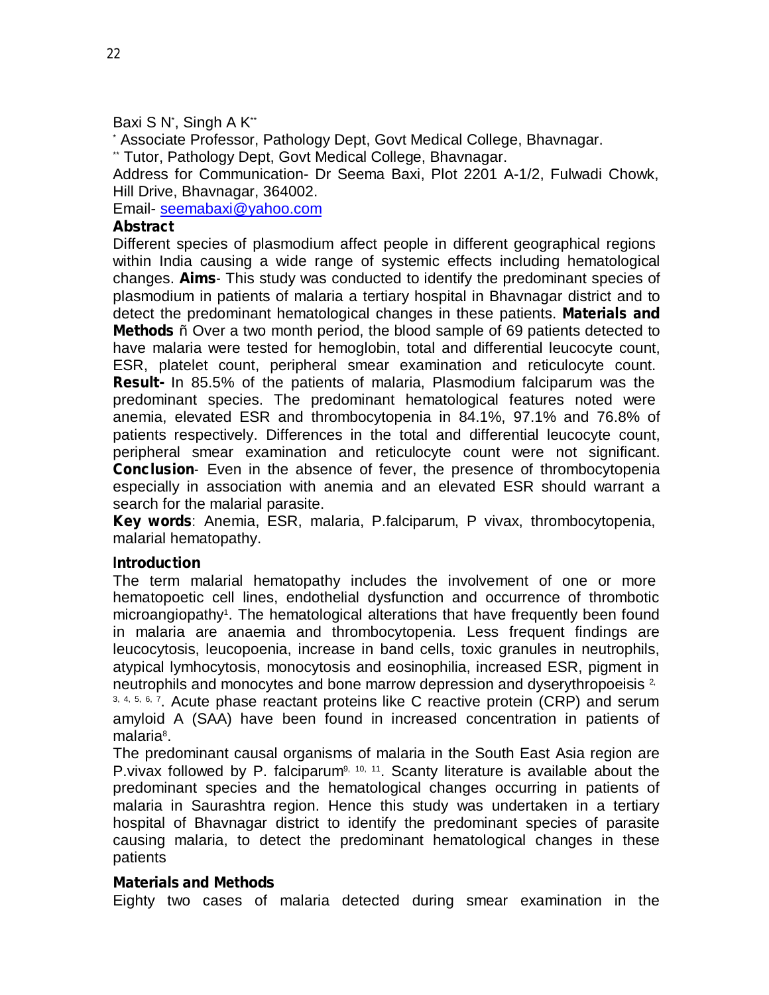#### Baxi S N', Singh A K<sup>\*\*</sup>

\* Associate Professor, Pathology Dept, Govt Medical College, Bhavnagar.

\*\* Tutor, Pathology Dept, Govt Medical College, Bhavnagar.

Address for Communication- Dr Seema Baxi, Plot 2201 A-1/2, Fulwadi Chowk, Hill Drive, Bhavnagar, 364002.

Email- [seemabaxi@yahoo.com](mailto:seemabaxi@yahoo.com)

### **Abstract**

Different species of plasmodium affect people in different geographical regions within India causing a wide range of systemic effects including hematological changes. **Aims**- This study was conducted to identify the predominant species of plasmodium in patients of malaria a tertiary hospital in Bhavnagar district and to detect the predominant hematological changes in these patients. **Materials and Methods** ñ Over a two month period, the blood sample of 69 patients detected to have malaria were tested for hemoglobin, total and differential leucocyte count, ESR, platelet count, peripheral smear examination and reticulocyte count. **Result-** In 85.5% of the patients of malaria, Plasmodium falciparum was the predominant species. The predominant hematological features noted were anemia, elevated ESR and thrombocytopenia in 84.1%, 97.1% and 76.8% of patients respectively. Differences in the total and differential leucocyte count, peripheral smear examination and reticulocyte count were not significant. **Conclusion**- Even in the absence of fever, the presence of thrombocytopenia especially in association with anemia and an elevated ESR should warrant a search for the malarial parasite.

**Key words**: Anemia, ESR, malaria, P.falciparum, P vivax, thrombocytopenia, malarial hematopathy.

#### **Introduction**

The term malarial hematopathy includes the involvement of one or more hematopoetic cell lines, endothelial dysfunction and occurrence of thrombotic microangiopathy<sup>1</sup>. The hematological alterations that have frequently been found in malaria are anaemia and thrombocytopenia. Less frequent findings are leucocytosis, leucopoenia, increase in band cells, toxic granules in neutrophils, atypical lymhocytosis, monocytosis and eosinophilia, increased ESR, pigment in neutrophils and monocytes and bone marrow depression and dyserythropoeisis <sup>2,</sup> <sup>3, 4, 5, 6, 7</sup>. Acute phase reactant proteins like C reactive protein (CRP) and serum amyloid A (SAA) have been found in increased concentration in patients of malaria 8 .

The predominant causal organisms of malaria in the South East Asia region are P. vivax followed by P. falciparum<sup>9, 10, 11</sup>. Scanty literature is available about the predominant species and the hematological changes occurring in patients of malaria in Saurashtra region. Hence this study was undertaken in a tertiary hospital of Bhavnagar district to identify the predominant species of parasite causing malaria, to detect the predominant hematological changes in these patients

#### **Materials and Methods**

Eighty two cases of malaria detected during smear examination in the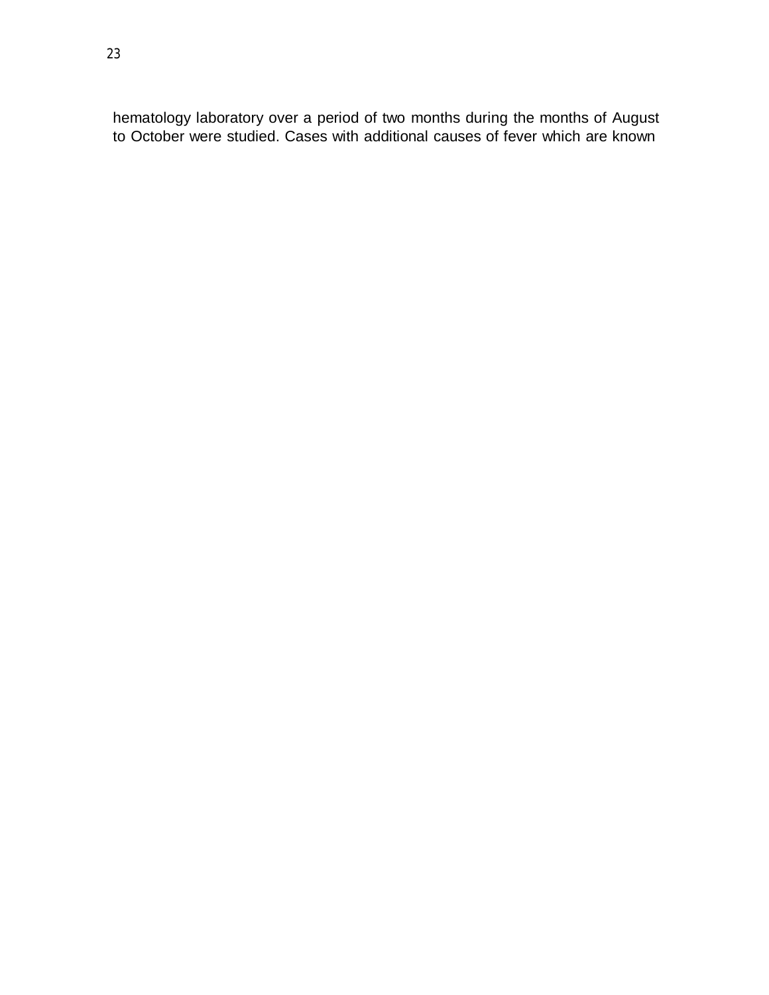hematology laboratory over a period of two months during the months of August to October were studied. Cases with additional causes of fever which are known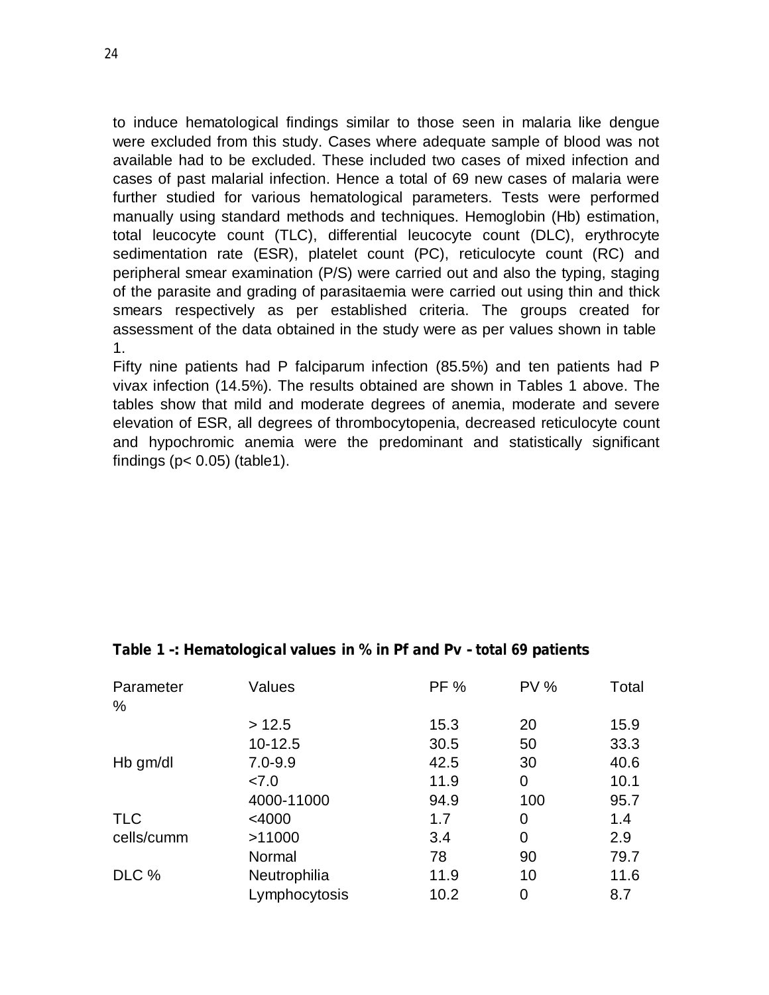to induce hematological findings similar to those seen in malaria like dengue were excluded from this study. Cases where adequate sample of blood was not available had to be excluded. These included two cases of mixed infection and cases of past malarial infection. Hence a total of 69 new cases of malaria were further studied for various hematological parameters. Tests were performed manually using standard methods and techniques. Hemoglobin (Hb) estimation, total leucocyte count (TLC), differential leucocyte count (DLC), erythrocyte sedimentation rate (ESR), platelet count (PC), reticulocyte count (RC) and peripheral smear examination (P/S) were carried out and also the typing, staging of the parasite and grading of parasitaemia were carried out using thin and thick smears respectively as per established criteria. The groups created for assessment of the data obtained in the study were as per values shown in table 1.

Fifty nine patients had P falciparum infection (85.5%) and ten patients had P vivax infection (14.5%). The results obtained are shown in Tables 1 above. The tables show that mild and moderate degrees of anemia, moderate and severe elevation of ESR, all degrees of thrombocytopenia, decreased reticulocyte count and hypochromic anemia were the predominant and statistically significant findings ( $p < 0.05$ ) (table1).

|               |        |      | Total |
|---------------|--------|------|-------|
|               |        |      |       |
| >12.5         | 15.3   | 20   | 15.9  |
| $10-12.5$     | 30.5   | 50   | 33.3  |
| $7.0 - 9.9$   | 42.5   | 30   | 40.6  |
| 27.0          | 11.9   | 0    | 10.1  |
| 4000-11000    | 94.9   | 100  | 95.7  |
| $<$ 4000      | 1.7    | 0    | 1.4   |
| >11000        | 3.4    | 0    | 2.9   |
| Normal        | 78     | 90   | 79.7  |
| Neutrophilia  | 11.9   | 10   | 11.6  |
| Lymphocytosis | 10.2   | 0    | 8.7   |
|               | Values | PF % | PV%   |

#### **Table 1 -: Hematological values in % in Pf and Pv - total 69 patients**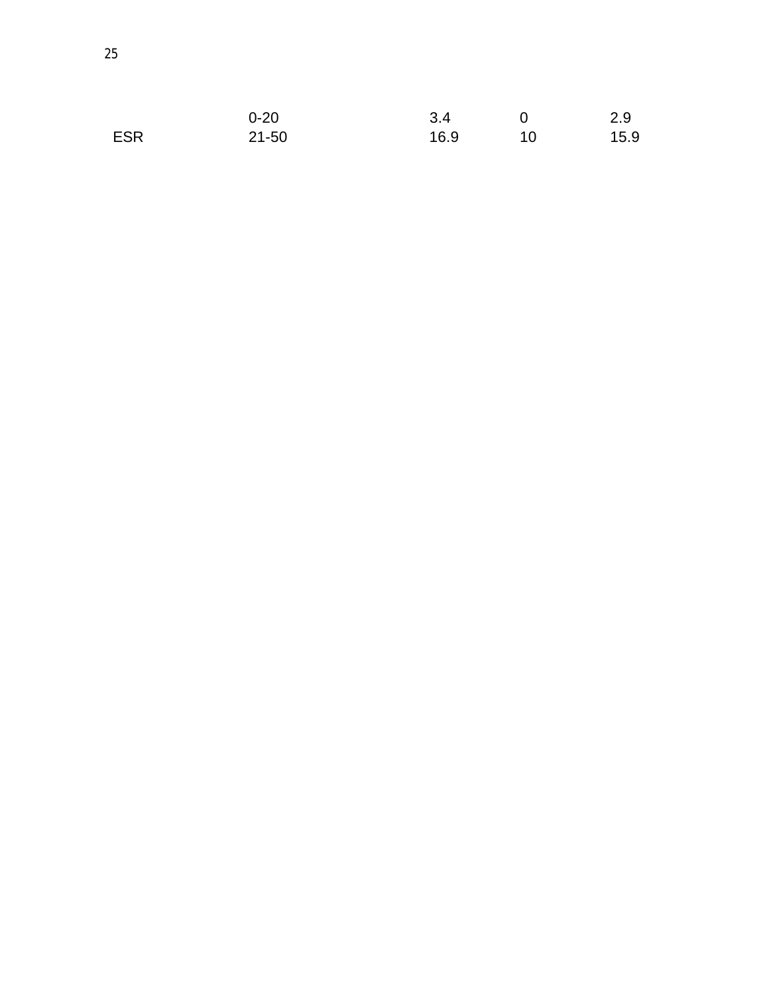|            | $0 - 20$  | 3.4  |    | 2.9  |
|------------|-----------|------|----|------|
| <b>ESR</b> | $21 - 50$ | 16.9 | 10 | 15.9 |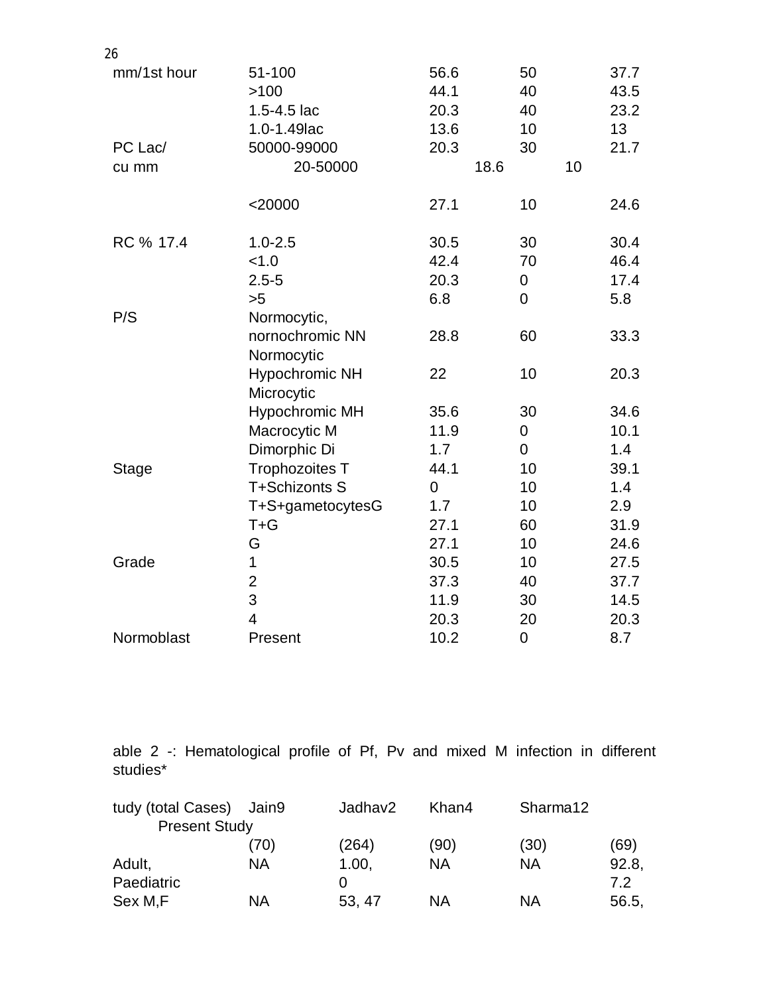| 26           |                       |              |                |              |
|--------------|-----------------------|--------------|----------------|--------------|
| mm/1st hour  | 51-100<br>>100        | 56.6<br>44.1 | 50<br>40       | 37.7<br>43.5 |
|              | 1.5-4.5 lac           | 20.3         | 40             | 23.2         |
|              | 1.0-1.49 lac          | 13.6         | 10             | 13           |
| PC Lac/      | 50000-99000           | 20.3         | 30             | 21.7         |
| cu mm        | 20-50000              |              | 18.6           | 10           |
|              | $<$ 20000             | 27.1         | 10             | 24.6         |
| RC % 17.4    | $1.0 - 2.5$           | 30.5         | 30             | 30.4         |
|              | < 1.0                 | 42.4         | 70             | 46.4         |
|              | $2.5 - 5$             | 20.3         | 0              | 17.4         |
|              | >5                    | 6.8          | $\overline{0}$ | 5.8          |
| P/S          | Normocytic,           |              |                |              |
|              | nornochromic NN       | 28.8         | 60             | 33.3         |
|              | Normocytic            |              |                |              |
|              | <b>Hypochromic NH</b> | 22           | 10             | 20.3         |
|              | Microcytic            |              |                |              |
|              | <b>Hypochromic MH</b> | 35.6         | 30             | 34.6         |
|              | Macrocytic M          | 11.9         | $\mathbf 0$    | 10.1         |
|              | Dimorphic Di          | 1.7          | $\mathbf 0$    | 1.4          |
| <b>Stage</b> | <b>Trophozoites T</b> | 44.1         | 10             | 39.1         |
|              | T+Schizonts S         | $\mathbf 0$  | 10             | 1.4          |
|              | T+S+gametocytesG      | 1.7          | 10             | 2.9          |
|              | $T + G$               | 27.1         | 60             | 31.9         |
|              | G                     | 27.1         | 10             | 24.6         |
| Grade        | 1                     | 30.5         | 10             | 27.5         |
|              | $\overline{2}$        | 37.3         | 40             | 37.7         |
|              | 3                     | 11.9         | 30             | 14.5         |
|              | 4                     | 20.3         | 20             | 20.3         |
| Normoblast   | Present               | 10.2         | $\mathbf 0$    | 8.7          |

able 2 -: Hematological profile of Pf, Pv and mixed M infection in different studies\*

| tudy (total Cases)   | Jain9 | Jadhav2 | Khan4 | Sharma12 |       |
|----------------------|-------|---------|-------|----------|-------|
| <b>Present Study</b> |       |         |       |          |       |
|                      | (70)  | (264)   | (90)  | (30)     | (69)  |
| Adult,               | ΝA    | 1.00,   | ΝA    | ΝA       | 92.8, |
| Paediatric           |       | 0       |       |          | 7.2   |
| Sex M <sub>,F</sub>  | ΝA    | 53, 47  | ΝA    | ΝA       | 56.5, |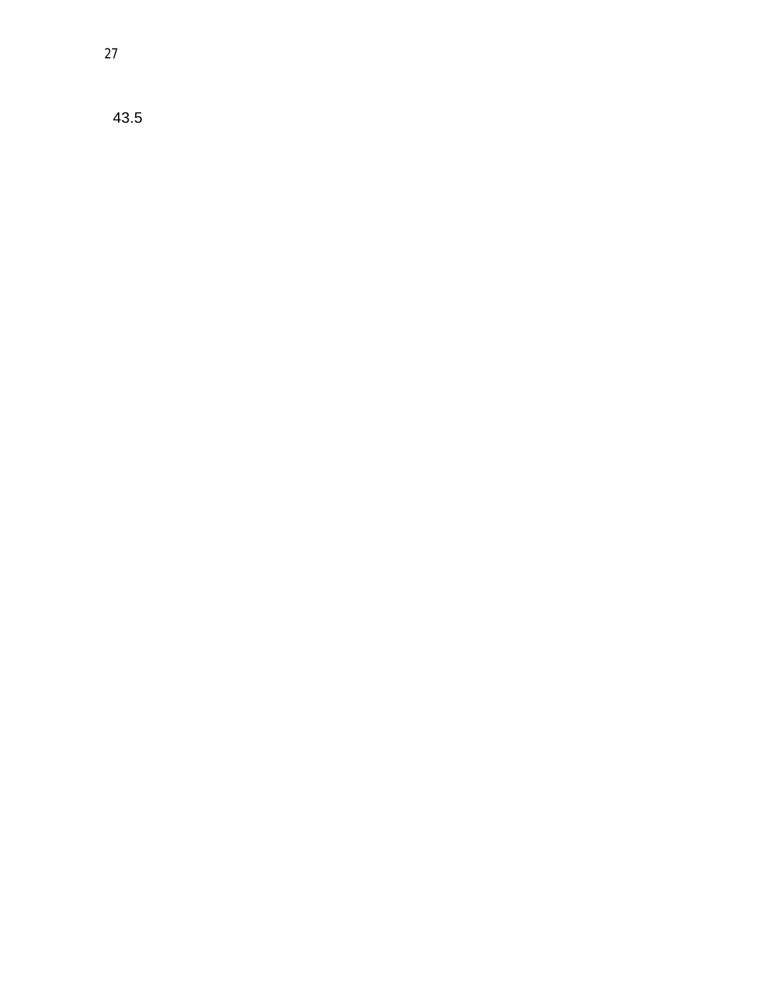43.5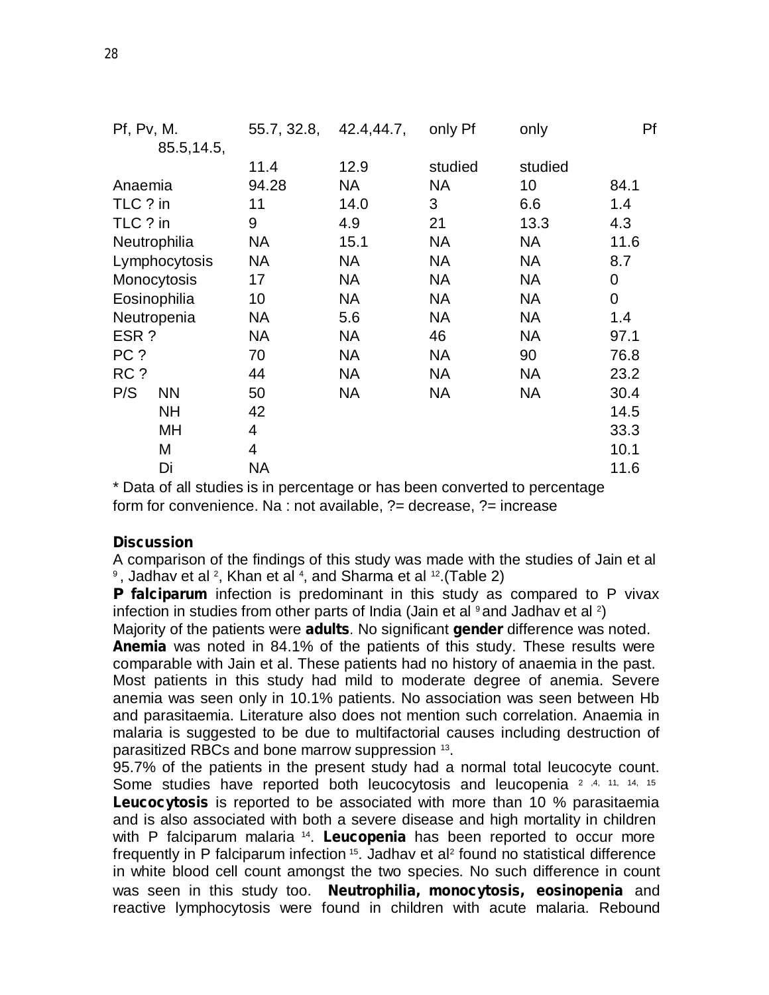| Pf, Pv, M.    |             | 55.7, 32.8, | 42.4,44.7, | only Pf   | only      | Pf          |
|---------------|-------------|-------------|------------|-----------|-----------|-------------|
|               | 85.5, 14.5, |             |            |           |           |             |
|               |             | 11.4        | 12.9       | studied   | studied   |             |
| Anaemia       |             | 94.28       | <b>NA</b>  | <b>NA</b> | 10        | 84.1        |
| TLC ? in      |             | 11          | 14.0       | 3         | 6.6       | 1.4         |
| TLC ? in      |             | 9           | 4.9        | 21        | 13.3      | 4.3         |
| Neutrophilia  |             | <b>NA</b>   | 15.1       | NA        | <b>NA</b> | 11.6        |
| Lymphocytosis |             | NA          | <b>NA</b>  | NA        | NA        | 8.7         |
| Monocytosis   |             | 17          | <b>NA</b>  | <b>NA</b> | NA        | 0           |
| Eosinophilia  |             | 10          | <b>NA</b>  | <b>NA</b> | <b>NA</b> | $\mathbf 0$ |
| Neutropenia   |             | NA          | 5.6        | <b>NA</b> | <b>NA</b> | 1.4         |
| ESR?          |             | <b>NA</b>   | <b>NA</b>  | 46        | <b>NA</b> | 97.1        |
| PC ?          |             | 70          | <b>NA</b>  | <b>NA</b> | 90        | 76.8        |
| RC ?          |             | 44          | <b>NA</b>  | NA.       | <b>NA</b> | 23.2        |
| P/S           | <b>NN</b>   | 50          | <b>NA</b>  | NA        | <b>NA</b> | 30.4        |
|               | <b>NH</b>   | 42          |            |           |           | 14.5        |
|               | MH          | 4           |            |           |           | 33.3        |
| M             |             | 4           |            |           |           | 10.1        |
| Di            |             | <b>NA</b>   |            |           |           | 11.6        |

\* Data of all studies is in percentage or has been converted to percentage form for convenience. Na : not available, ?= decrease, ?= increase

#### **Discussion**

A comparison of the findings of this study was made with the studies of Jain et al  $9$ , Jadhav et al  $2$ , Khan et al  $4$ , and Sharma et al  $12$ .(Table 2)

**P falciparum** infection is predominant in this study as compared to P vivax infection in studies from other parts of India (Jain et al  $9$  and Jadhav et al  $2)$ 

Majority of the patients were **adults**. No significant **gender** difference was noted. **Anemia** was noted in 84.1% of the patients of this study. These results were comparable with Jain et al. These patients had no history of anaemia in the past. Most patients in this study had mild to moderate degree of anemia. Severe anemia was seen only in 10.1% patients. No association was seen between Hb and parasitaemia. Literature also does not mention such correlation. Anaemia in malaria is suggested to be due to multifactorial causes including destruction of parasitized RBCs and bone marrow suppression 13 .

95.7% of the patients in the present study had a normal total leucocyte count. Some studies have reported both leucocytosis and leucopenia <sup>2</sup> ,4, 11, 14, 15 **Leucocytosis** is reported to be associated with more than 10 % parasitaemia and is also associated with both a severe disease and high mortality in children with P falciparum malaria 14 . **Leucopenia** has been reported to occur more frequently in P falciparum infection <sup>15</sup>. Jadhav et al<sup>2</sup> found no statistical difference in white blood cell count amongst the two species. No such difference in count was seen in this study too. **Neutrophilia, monocytosis, eosinopenia** and reactive lymphocytosis were found in children with acute malaria. Rebound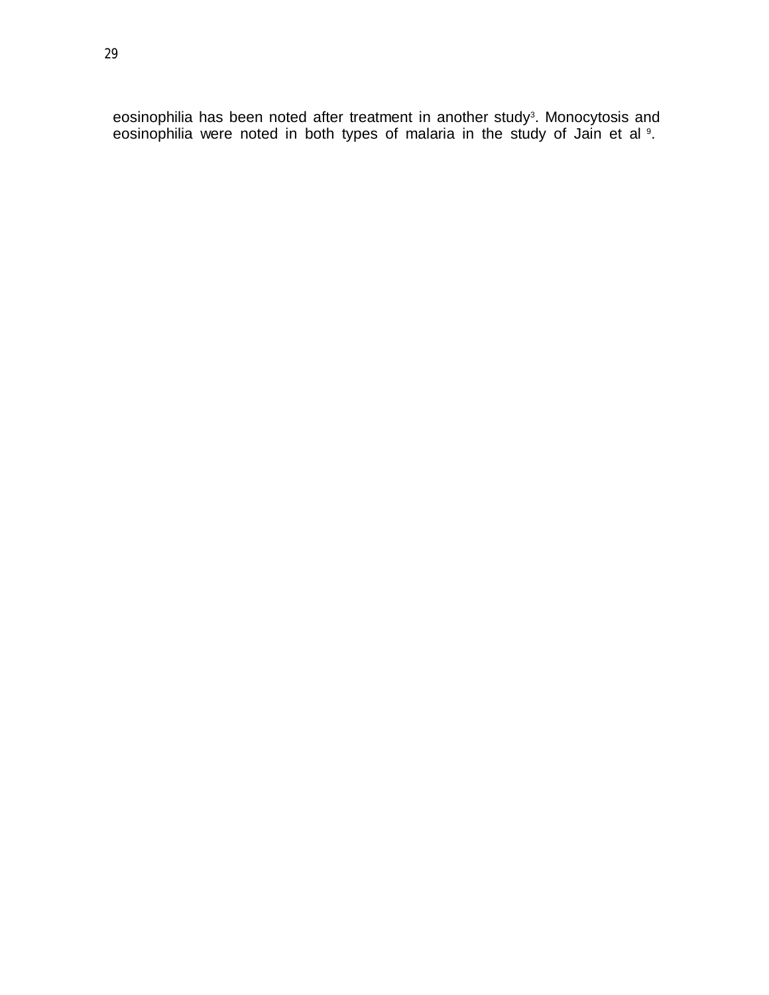eosinophilia has been noted after treatment in another study 3 . Monocytosis and eosinophilia were noted in both types of malaria in the study of Jain et al <sup>9</sup>.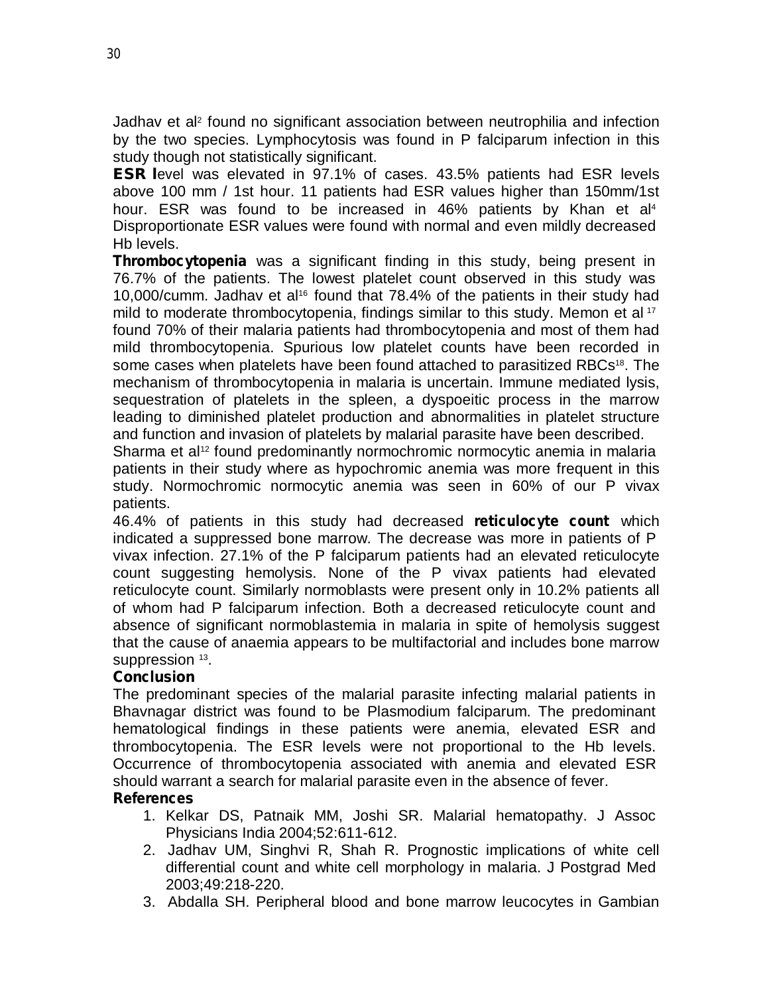Jadhav et al<sup>2</sup> found no significant association between neutrophilia and infection by the two species. Lymphocytosis was found in P falciparum infection in this study though not statistically significant.

**ESR l**evel was elevated in 97.1% of cases. 43.5% patients had ESR levels above 100 mm / 1st hour. 11 patients had ESR values higher than 150mm/1st hour. ESR was found to be increased in 46% patients by Khan et al 4 Disproportionate ESR values were found with normal and even mildly decreased Hb levels.

**Thrombocytopenia** was a significant finding in this study, being present in 76.7% of the patients. The lowest platelet count observed in this study was 10,000/cumm. Jadhav et al<sup>16</sup> found that 78.4% of the patients in their study had mild to moderate thrombocytopenia, findings similar to this study. Memon et al 17 found 70% of their malaria patients had thrombocytopenia and most of them had mild thrombocytopenia. Spurious low platelet counts have been recorded in some cases when platelets have been found attached to parasitized RBCs<sup>18</sup>. The mechanism of thrombocytopenia in malaria is uncertain. Immune mediated lysis, sequestration of platelets in the spleen, a dyspoeitic process in the marrow leading to diminished platelet production and abnormalities in platelet structure and function and invasion of platelets by malarial parasite have been described.

Sharma et al<sup>12</sup> found predominantly normochromic normocytic anemia in malaria patients in their study where as hypochromic anemia was more frequent in this study. Normochromic normocytic anemia was seen in 60% of our P vivax patients.

46.4% of patients in this study had decreased **reticulocyte count** which indicated a suppressed bone marrow. The decrease was more in patients of P vivax infection. 27.1% of the P falciparum patients had an elevated reticulocyte count suggesting hemolysis. None of the P vivax patients had elevated reticulocyte count. Similarly normoblasts were present only in 10.2% patients all of whom had P falciparum infection. Both a decreased reticulocyte count and absence of significant normoblastemia in malaria in spite of hemolysis suggest that the cause of anaemia appears to be multifactorial and includes bone marrow suppression 13.

#### **Conclusion**

The predominant species of the malarial parasite infecting malarial patients in Bhavnagar district was found to be Plasmodium falciparum. The predominant hematological findings in these patients were anemia, elevated ESR and thrombocytopenia. The ESR levels were not proportional to the Hb levels. Occurrence of thrombocytopenia associated with anemia and elevated ESR should warrant a search for malarial parasite even in the absence of fever.

#### **References**

- 1. Kelkar DS, Patnaik MM, Joshi SR. Malarial hematopathy. J Assoc Physicians India 2004;52:611-612.
- 2. Jadhav UM, Singhvi R, Shah R. Prognostic implications of white cell differential count and white cell morphology in malaria. J Postgrad Med 2003;49:218-220.
- 3. Abdalla SH. Peripheral blood and bone marrow leucocytes in Gambian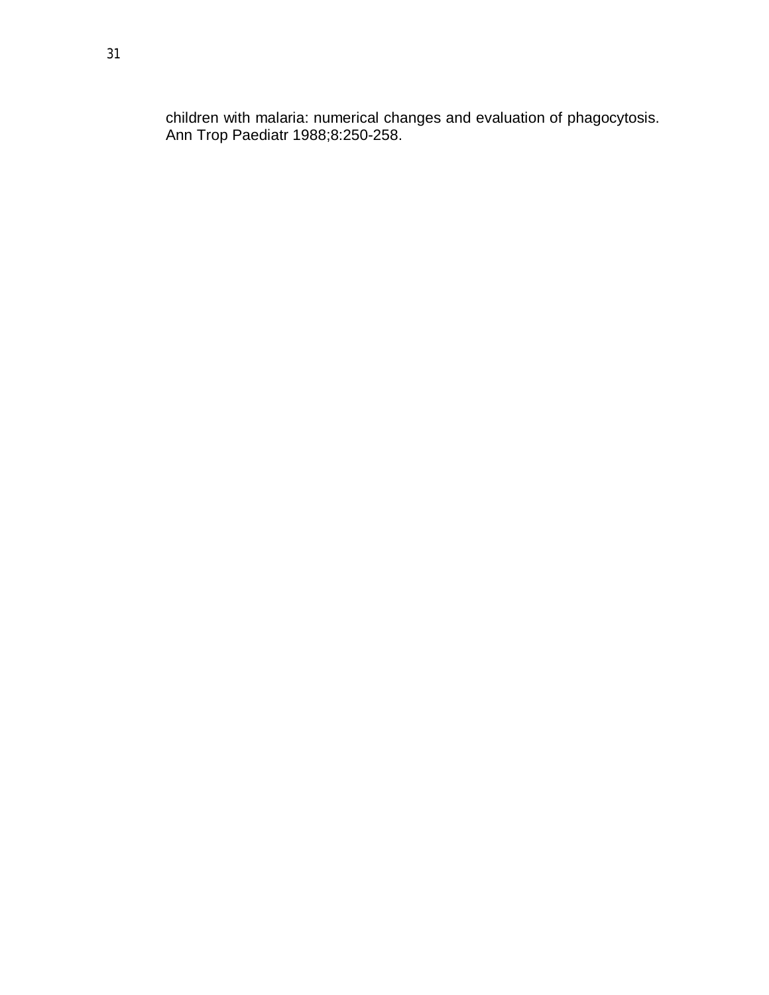children with malaria: numerical changes and evaluation of phagocytosis. Ann Trop Paediatr 1988;8:250-258.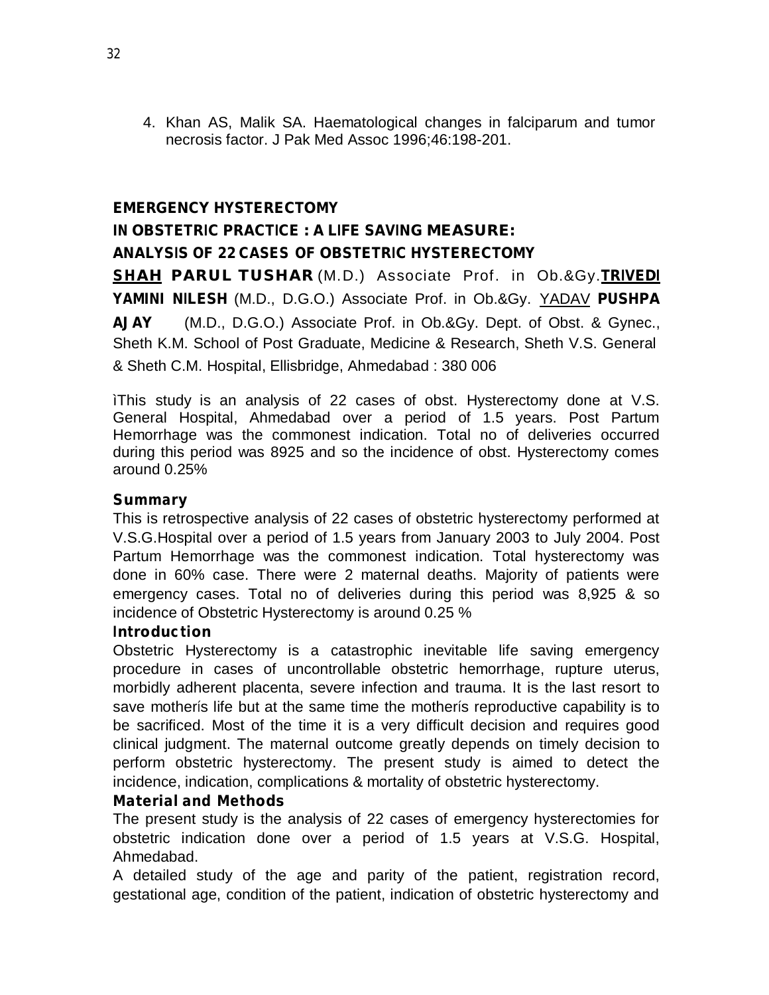4. Khan AS, Malik SA. Haematological changes in falciparum and tumor necrosis factor. J Pak Med Assoc 1996;46:198-201.

#### **EMERGENCY HYSTERECTOMY**

# **IN OBSTETRIC PRACTICE : A LIFE SAVING MEASURE: ANALYSIS OF 22 CASES OF OBSTETRIC HYSTERECTOMY**

**SHAH PARUL TUSHAR** (M.D.) Associate Prof. in Ob.&Gy.**TRIVEDI YAMINI NILESH** (M.D., D.G.O.) Associate Prof. in Ob.&Gy. YADAV **PUSHPA AJAY** (M.D., D.G.O.) Associate Prof. in Ob.&Gy. Dept. of Obst. & Gynec., Sheth K.M. School of Post Graduate, Medicine & Research, Sheth V.S. General & Sheth C.M. Hospital, Ellisbridge, Ahmedabad : 380 006

ìThis study is an analysis of 22 cases of obst. Hysterectomy done at V.S. General Hospital, Ahmedabad over a period of 1.5 years. Post Partum Hemorrhage was the commonest indication. Total no of deliveries occurred during this period was 8925 and so the incidence of obst. Hysterectomy comes around 0.25%

#### **Summary**

This is retrospective analysis of 22 cases of obstetric hysterectomy performed at V.S.G.Hospital over a period of 1.5 years from January 2003 to July 2004. Post Partum Hemorrhage was the commonest indication. Total hysterectomy was done in 60% case. There were 2 maternal deaths. Majority of patients were emergency cases. Total no of deliveries during this period was 8,925 & so incidence of Obstetric Hysterectomy is around 0.25 %

#### **Introduction**

Obstetric Hysterectomy is a catastrophic inevitable life saving emergency procedure in cases of uncontrollable obstetric hemorrhage, rupture uterus, morbidly adherent placenta, severe infection and trauma. It is the last resort to save motherís life but at the same time the motherís reproductive capability is to be sacrificed. Most of the time it is a very difficult decision and requires good clinical judgment. The maternal outcome greatly depends on timely decision to perform obstetric hysterectomy. The present study is aimed to detect the incidence, indication, complications & mortality of obstetric hysterectomy.

#### **Material and Methods**

The present study is the analysis of 22 cases of emergency hysterectomies for obstetric indication done over a period of 1.5 years at V.S.G. Hospital, Ahmedabad.

A detailed study of the age and parity of the patient, registration record, gestational age, condition of the patient, indication of obstetric hysterectomy and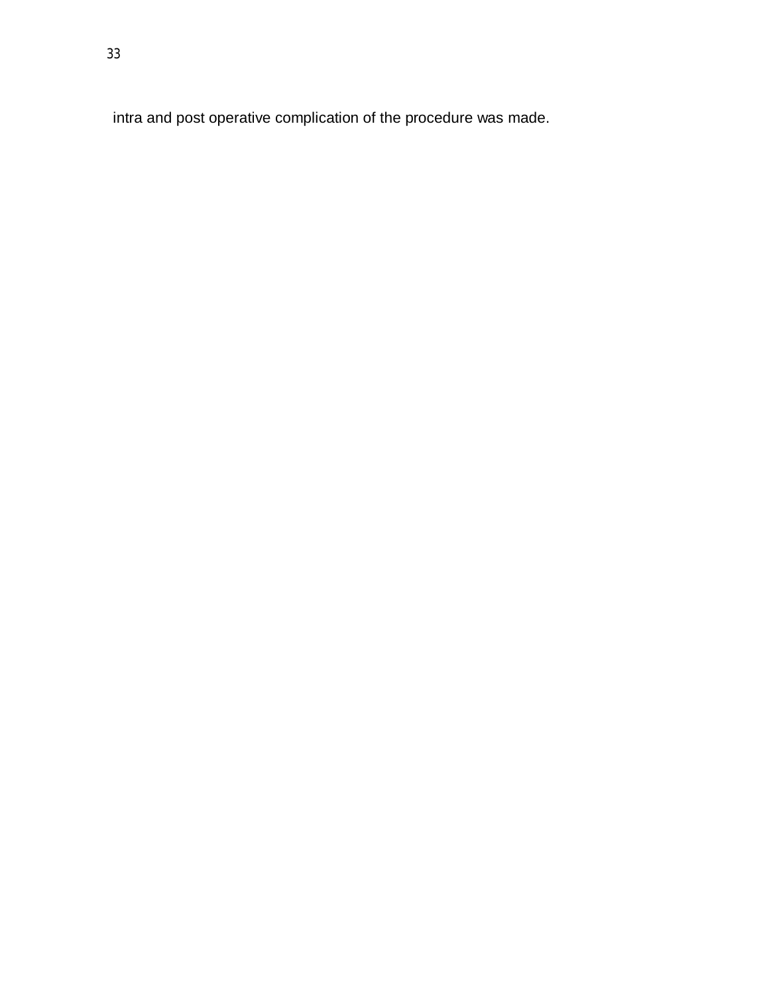intra and post operative complication of the procedure was made.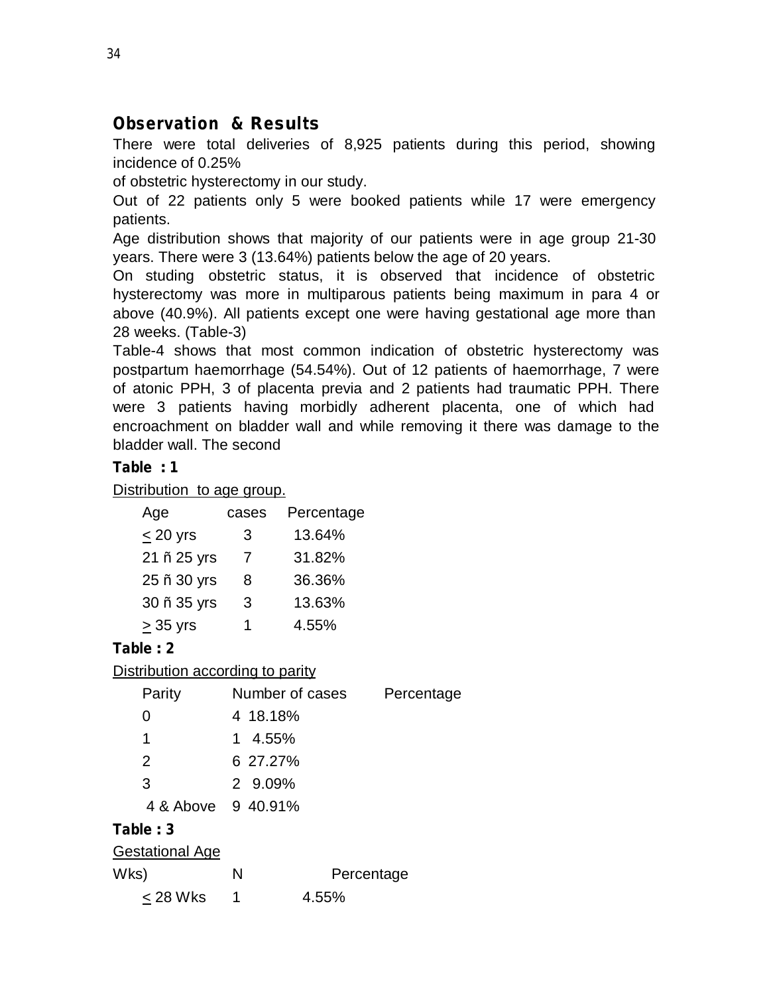# **Observation & Results**

There were total deliveries of 8,925 patients during this period, showing incidence of 0.25%

of obstetric hysterectomy in our study.

Out of 22 patients only 5 were booked patients while 17 were emergency patients.

Age distribution shows that majority of our patients were in age group 21-30 years. There were 3 (13.64%) patients below the age of 20 years.

On studing obstetric status, it is observed that incidence of obstetric hysterectomy was more in multiparous patients being maximum in para 4 or above (40.9%). All patients except one were having gestational age more than 28 weeks. (Table-3)

Table-4 shows that most common indication of obstetric hysterectomy was postpartum haemorrhage (54.54%). Out of 12 patients of haemorrhage, 7 were of atonic PPH, 3 of placenta previa and 2 patients had traumatic PPH. There were 3 patients having morbidly adherent placenta, one of which had encroachment on bladder wall and while removing it there was damage to the bladder wall. The second

# **Table : 1**

Distribution to age group.

| Age         | cases       | Percentage |
|-------------|-------------|------------|
| $< 20$ yrs  | 3           | 13.64%     |
| 21 ñ 25 yrs | 7           | 31.82%     |
| 25 ñ 30 yrs | 8           | 36.36%     |
| 30 ñ 35 yrs | 3           | 13.63%     |
| $> 35$ yrs  | $\mathbf 1$ | 4.55%      |

# **Table : 2**

| Distribution according to parity |                 |            |            |
|----------------------------------|-----------------|------------|------------|
| Parity                           | Number of cases |            | Percentage |
| O                                | 4 18.18%        |            |            |
| 1                                | 1 4.55%         |            |            |
| 2                                | 6 27.27%        |            |            |
| 3                                | 2 9.09%         |            |            |
| 4 & Above 9 40.91%               |                 |            |            |
| Table: 3                         |                 |            |            |
| <b>Gestational Age</b>           |                 |            |            |
| Wks)                             | Ν               | Percentage |            |
| $< 28$ Wks                       | 1               | 4.55%      |            |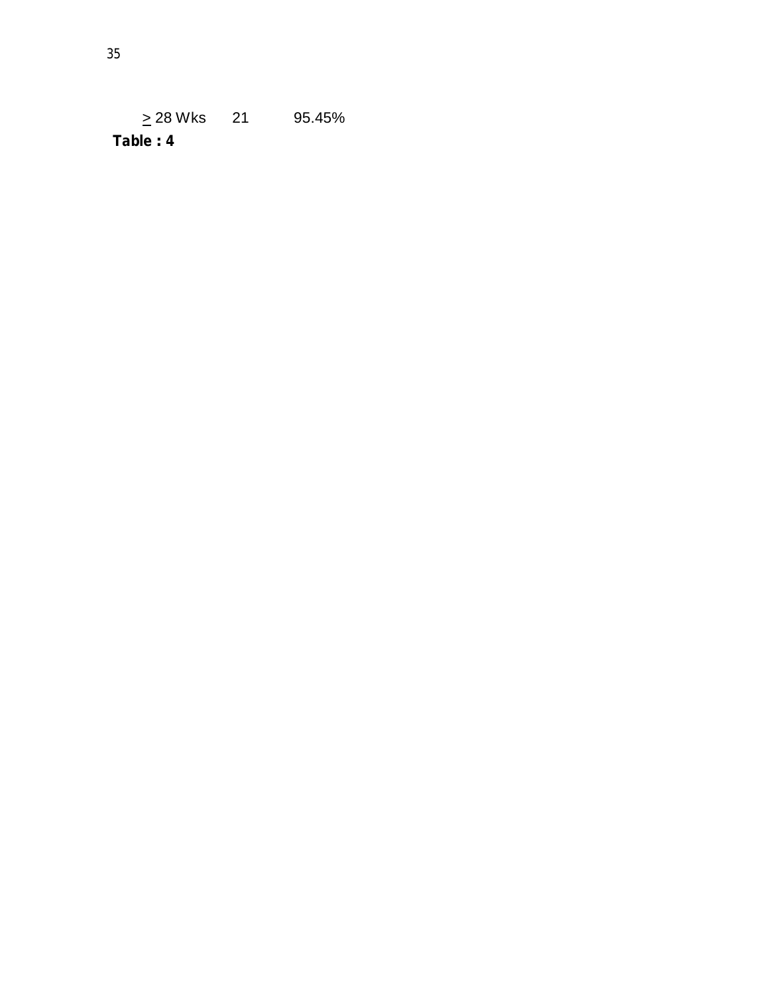$\geq$  28 Wks 21 95.45% **Table : 4**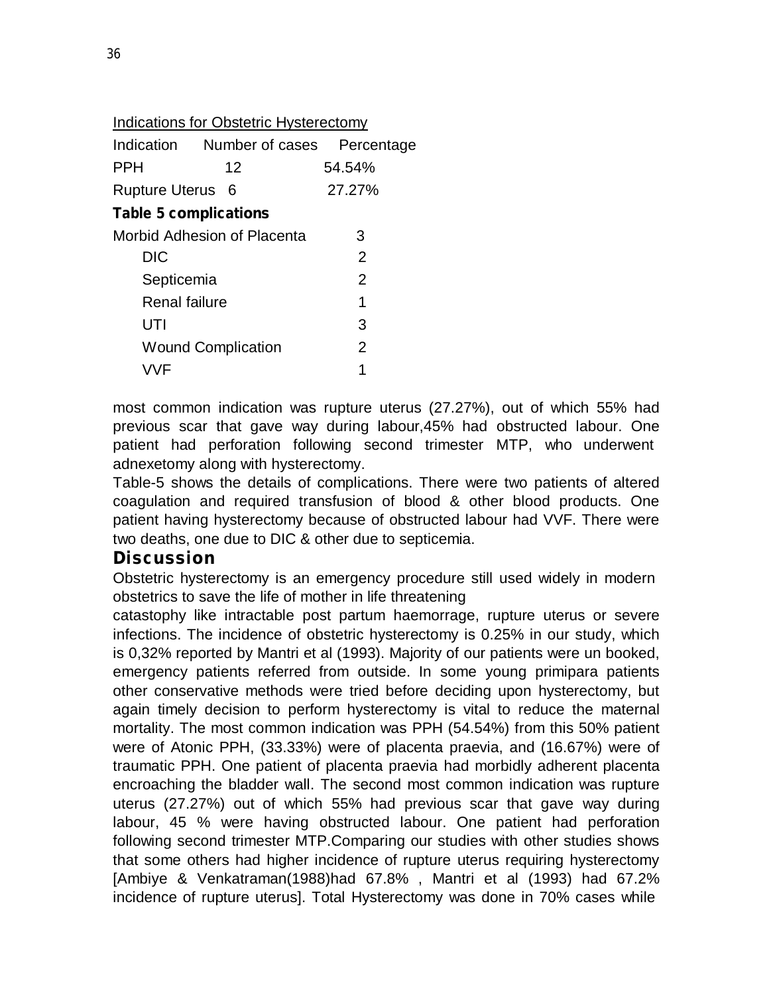| Indications for Obstetric Hysterectomy |  |
|----------------------------------------|--|
|                                        |  |

|                              | Indication Number of cases  | Percentage     |  |  |  |
|------------------------------|-----------------------------|----------------|--|--|--|
| <b>PPH</b>                   | 12                          | 54.54%         |  |  |  |
| Rupture Uterus 6             |                             | 27.27%         |  |  |  |
| <b>Table 5 complications</b> |                             |                |  |  |  |
|                              | Morbid Adhesion of Placenta | З              |  |  |  |
| <b>DIC</b>                   |                             | $\overline{2}$ |  |  |  |
| Septicemia                   |                             | 2              |  |  |  |
| Renal failure                |                             | 1              |  |  |  |
| UTI                          |                             | 3              |  |  |  |
|                              | <b>Wound Complication</b>   | $\overline{2}$ |  |  |  |
| VVF                          |                             | 1              |  |  |  |

most common indication was rupture uterus (27.27%), out of which 55% had previous scar that gave way during labour,45% had obstructed labour. One patient had perforation following second trimester MTP, who underwent adnexetomy along with hysterectomy.

Table-5 shows the details of complications. There were two patients of altered coagulation and required transfusion of blood & other blood products. One patient having hysterectomy because of obstructed labour had VVF. There were two deaths, one due to DIC & other due to septicemia.

# **Discussion**

Obstetric hysterectomy is an emergency procedure still used widely in modern obstetrics to save the life of mother in life threatening

catastophy like intractable post partum haemorrage, rupture uterus or severe infections. The incidence of obstetric hysterectomy is 0.25% in our study, which is 0,32% reported by Mantri et al (1993). Majority of our patients were un booked, emergency patients referred from outside. In some young primipara patients other conservative methods were tried before deciding upon hysterectomy, but again timely decision to perform hysterectomy is vital to reduce the maternal mortality. The most common indication was PPH (54.54%) from this 50% patient were of Atonic PPH, (33.33%) were of placenta praevia, and (16.67%) were of traumatic PPH. One patient of placenta praevia had morbidly adherent placenta encroaching the bladder wall. The second most common indication was rupture uterus (27.27%) out of which 55% had previous scar that gave way during labour, 45 % were having obstructed labour. One patient had perforation following second trimester MTP.Comparing our studies with other studies shows that some others had higher incidence of rupture uterus requiring hysterectomy [Ambiye & Venkatraman(1988)had 67.8% , Mantri et al (1993) had 67.2% incidence of rupture uterus]. Total Hysterectomy was done in 70% cases while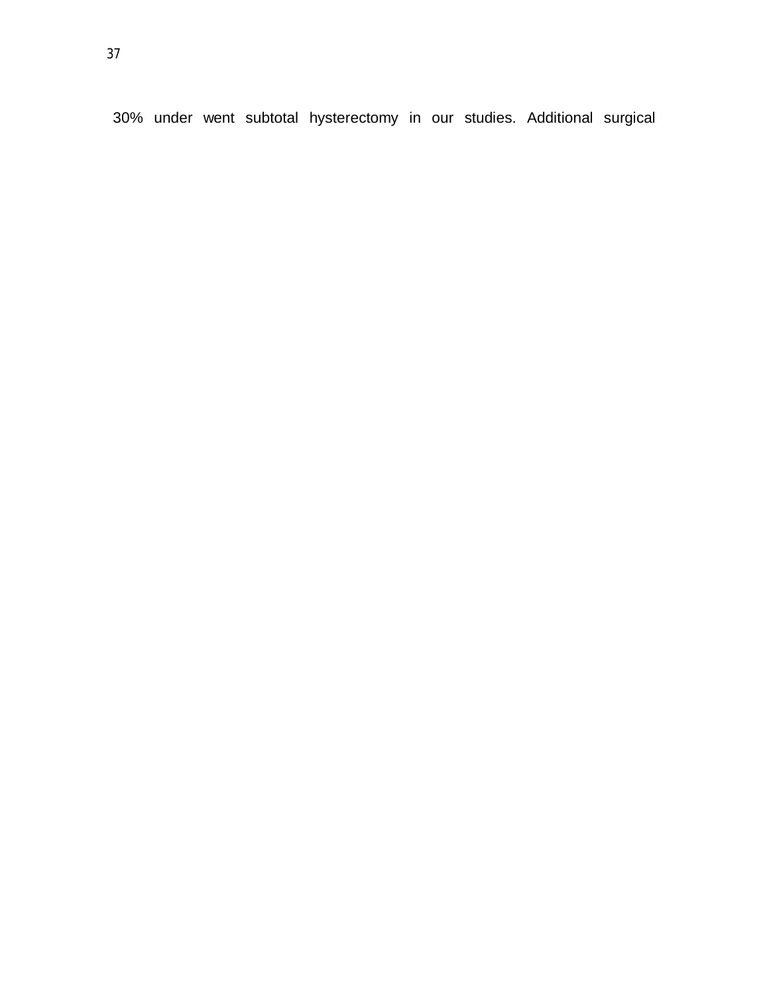30% under went subtotal hysterectomy in our studies. Additional surgical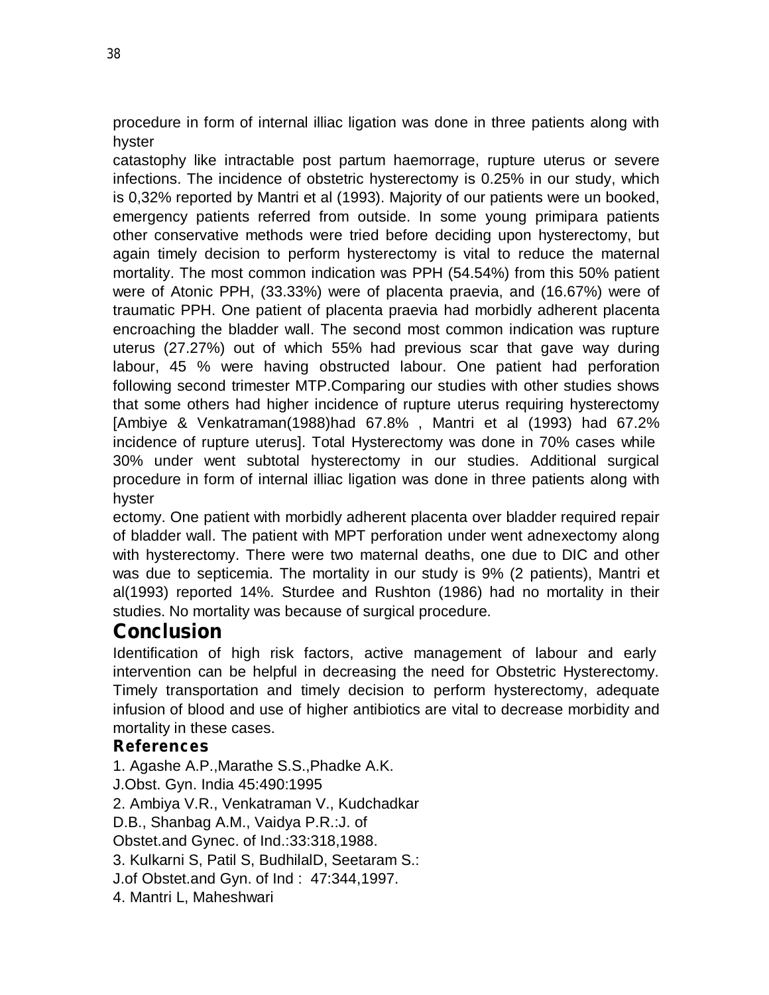procedure in form of internal illiac ligation was done in three patients along with hyster

catastophy like intractable post partum haemorrage, rupture uterus or severe infections. The incidence of obstetric hysterectomy is 0.25% in our study, which is 0,32% reported by Mantri et al (1993). Majority of our patients were un booked, emergency patients referred from outside. In some young primipara patients other conservative methods were tried before deciding upon hysterectomy, but again timely decision to perform hysterectomy is vital to reduce the maternal mortality. The most common indication was PPH (54.54%) from this 50% patient were of Atonic PPH, (33.33%) were of placenta praevia, and (16.67%) were of traumatic PPH. One patient of placenta praevia had morbidly adherent placenta encroaching the bladder wall. The second most common indication was rupture uterus (27.27%) out of which 55% had previous scar that gave way during labour, 45 % were having obstructed labour. One patient had perforation following second trimester MTP.Comparing our studies with other studies shows that some others had higher incidence of rupture uterus requiring hysterectomy [Ambiye & Venkatraman(1988)had 67.8% , Mantri et al (1993) had 67.2% incidence of rupture uterus]. Total Hysterectomy was done in 70% cases while 30% under went subtotal hysterectomy in our studies. Additional surgical procedure in form of internal illiac ligation was done in three patients along with hyster

ectomy. One patient with morbidly adherent placenta over bladder required repair of bladder wall. The patient with MPT perforation under went adnexectomy along with hysterectomy. There were two maternal deaths, one due to DIC and other was due to septicemia. The mortality in our study is 9% (2 patients), Mantri et al(1993) reported 14%. Sturdee and Rushton (1986) had no mortality in their studies. No mortality was because of surgical procedure.

# **Conclusion**

Identification of high risk factors, active management of labour and early intervention can be helpful in decreasing the need for Obstetric Hysterectomy. Timely transportation and timely decision to perform hysterectomy, adequate infusion of blood and use of higher antibiotics are vital to decrease morbidity and mortality in these cases.

# **References**

1. Agashe A.P.,Marathe S.S.,Phadke A.K. J.Obst. Gyn. India 45:490:1995 2. Ambiya V.R., Venkatraman V., Kudchadkar D.B., Shanbag A.M., Vaidya P.R.:J. of Obstet.and Gynec. of Ind.:33:318,1988. 3. Kulkarni S, Patil S, BudhilalD, Seetaram S.: J.of Obstet.and Gyn. of Ind : 47:344,1997. 4. Mantri L, Maheshwari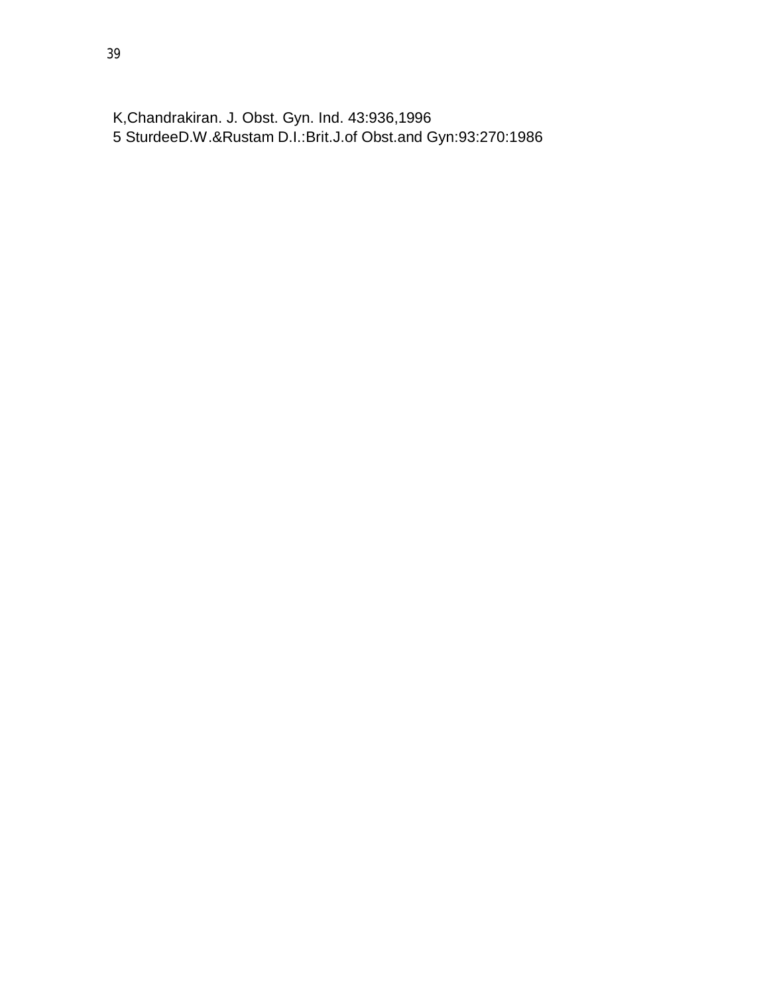K,Chandrakiran. J. Obst. Gyn. Ind. 43:936,1996 SturdeeD.W.&Rustam D.I.:Brit.J.of Obst.and Gyn:93:270:1986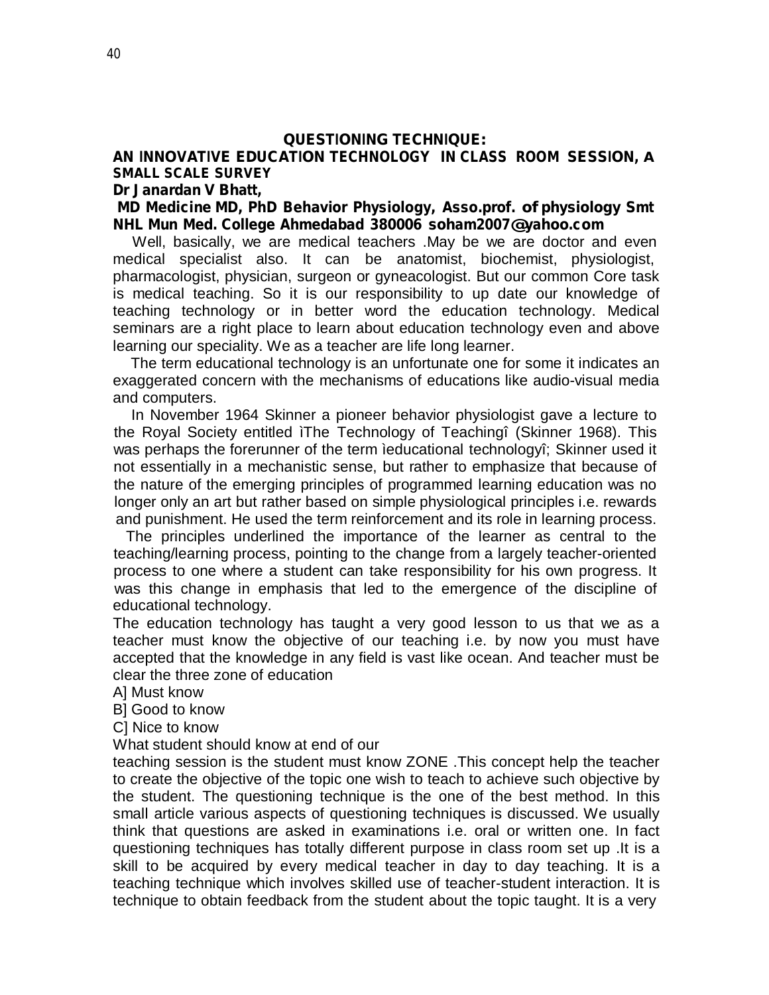#### **QUESTIONING TECHNIQUE:**

#### **AN INNOVATIVE EDUCATION TECHNOLOGY IN CLASS ROOM SESSION, A SMALL SCALE SURVEY**

#### **Dr Janardan V Bhatt,**

#### **MD Medicine MD, PhD Behavior Physiology, Asso.prof. of physiology Smt NHL Mun Med. College Ahmedabad <sup>380006</sup> [soham2007@yahoo.com](mailto:soham2007@yahoo.com)**

Well, basically, we are medical teachers .May be we are doctor and even medical specialist also. It can be anatomist, biochemist, physiologist, pharmacologist, physician, surgeon or gyneacologist. But our common Core task is medical teaching. So it is our responsibility to up date our knowledge of teaching technology or in better word the education technology. Medical seminars are a right place to learn about education technology even and above learning our speciality. We as a teacher are life long learner.

The term educational technology is an unfortunate one for some it indicates an exaggerated concern with the mechanisms of educations like audio-visual media and computers.

In November 1964 Skinner a pioneer behavior physiologist gave a lecture to the Royal Society entitled ìThe Technology of Teachingî (Skinner 1968). This was perhaps the forerunner of the term ìeducational technologyî; Skinner used it not essentially in a mechanistic sense, but rather to emphasize that because of the nature of the emerging principles of programmed learning education was no longer only an art but rather based on simple physiological principles i.e. rewards and punishment. He used the term reinforcement and its role in learning process.

The principles underlined the importance of the learner as central to the teaching/learning process, pointing to the change from a largely teacher-oriented process to one where a student can take responsibility for his own progress. It was this change in emphasis that led to the emergence of the discipline of educational technology.

The education technology has taught a very good lesson to us that we as a teacher must know the objective of our teaching i.e. by now you must have accepted that the knowledge in any field is vast like ocean. And teacher must be clear the three zone of education

A] Must know

B] Good to know

C] Nice to know

What student should know at end of our

teaching session is the student must know ZONE .This concept help the teacher to create the objective of the topic one wish to teach to achieve such objective by the student. The questioning technique is the one of the best method. In this small article various aspects of questioning techniques is discussed. We usually think that questions are asked in examinations i.e. oral or written one. In fact questioning techniques has totally different purpose in class room set up .It is a skill to be acquired by every medical teacher in day to day teaching. It is a teaching technique which involves skilled use of teacher-student interaction. It is technique to obtain feedback from the student about the topic taught. It is a very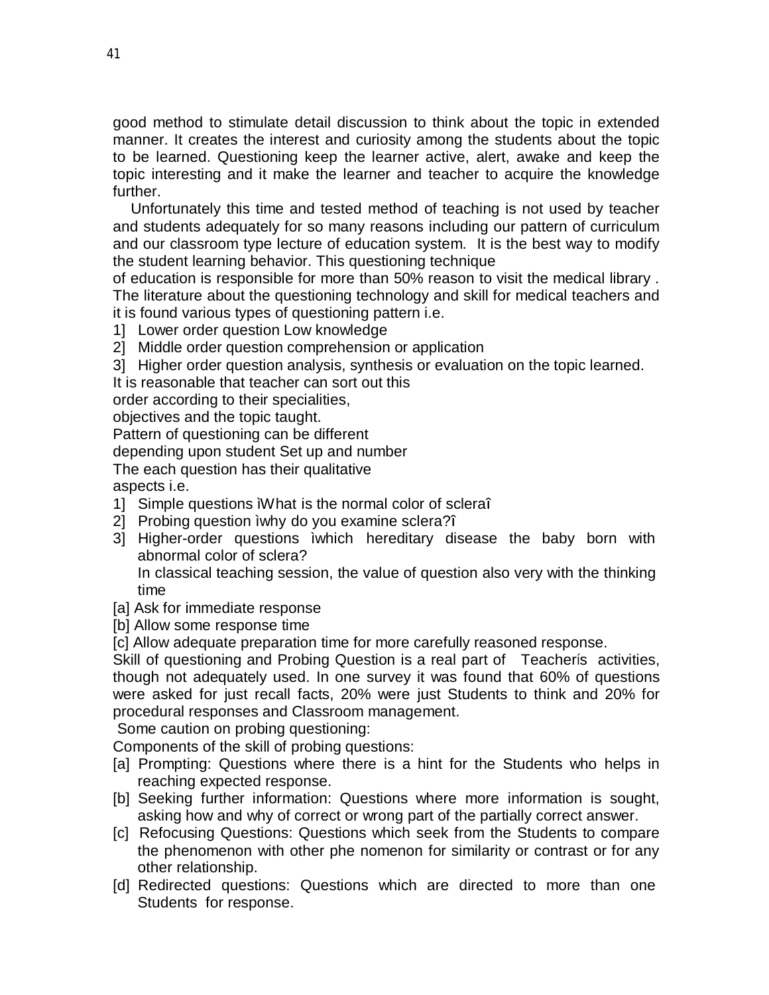good method to stimulate detail discussion to think about the topic in extended manner. It creates the interest and curiosity among the students about the topic to be learned. Questioning keep the learner active, alert, awake and keep the topic interesting and it make the learner and teacher to acquire the knowledge further.

Unfortunately this time and tested method of teaching is not used by teacher and students adequately for so many reasons including our pattern of curriculum and our classroom type lecture of education system. It is the best way to modify the student learning behavior. This questioning technique

of education is responsible for more than 50% reason to visit the medical library . The literature about the questioning technology and skill for medical teachers and it is found various types of questioning pattern i.e.

1] Lower order question Low knowledge

2] Middle order question comprehension or application

3] Higher order question analysis, synthesis or evaluation on the topic learned.

It is reasonable that teacher can sort out this

order according to their specialities,

objectives and the topic taught.

Pattern of questioning can be different

depending upon student Set up and number

The each question has their qualitative

aspects i.e.

- 1] Simple questions ìWhat is the normal color of scleraî
- 2] Probing question ìwhy do you examine sclera?î
- 3] Higher-order questions ìwhich hereditary disease the baby born with abnormal color of sclera?

In classical teaching session, the value of question also very with the thinking time

- [a] Ask for immediate response
- [b] Allow some response time

[c] Allow adequate preparation time for more carefully reasoned response.

Skill of questioning and Probing Question is a real part of Teacherís activities, though not adequately used. In one survey it was found that 60% of questions were asked for just recall facts, 20% were just Students to think and 20% for procedural responses and Classroom management.

Some caution on probing questioning:

Components of the skill of probing questions:

- [a] Prompting: Questions where there is a hint for the Students who helps in reaching expected response.
- [b] Seeking further information: Questions where more information is sought, asking how and why of correct or wrong part of the partially correct answer.
- [c] Refocusing Questions: Questions which seek from the Students to compare the phenomenon with other phe nomenon for similarity or contrast or for any other relationship.
- [d] Redirected questions: Questions which are directed to more than one Students for response.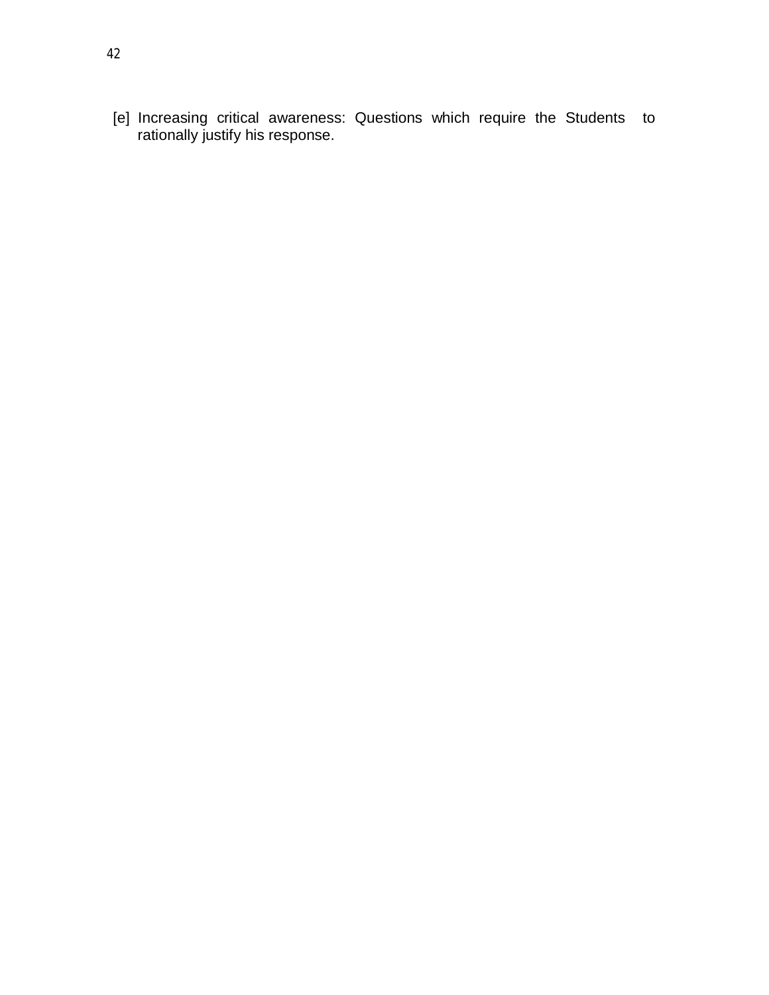[e] Increasing critical awareness: Questions which require the Students to rationally justify his response.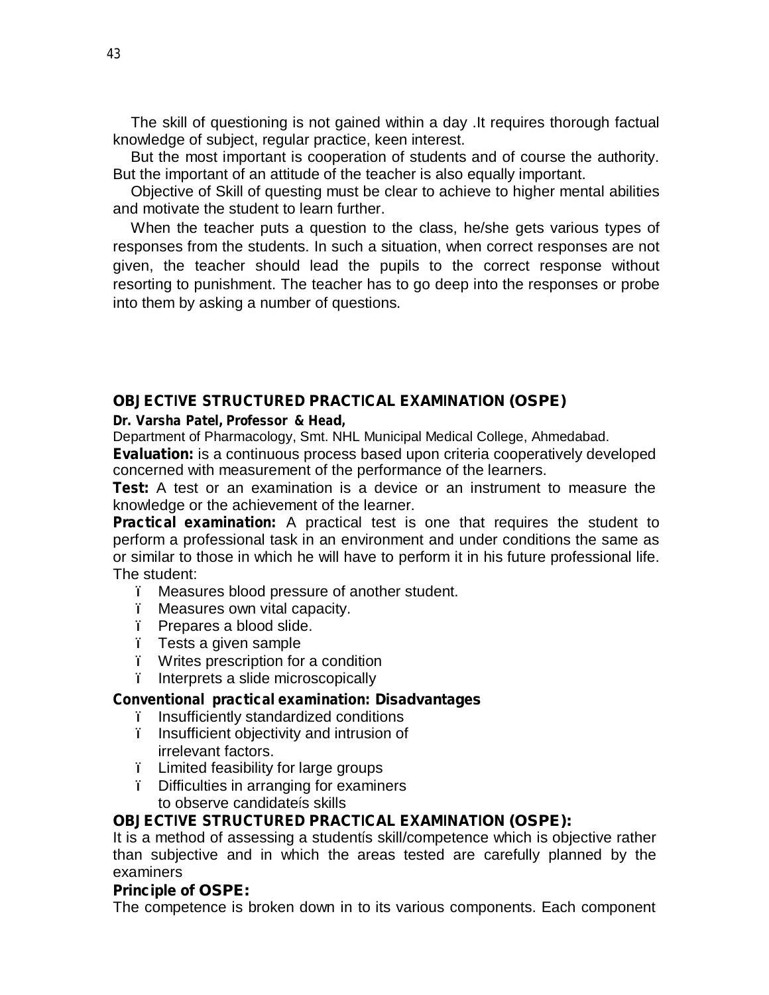The skill of questioning is not gained within a day .It requires thorough factual knowledge of subject, regular practice, keen interest.

But the most important is cooperation of students and of course the authority. But the important of an attitude of the teacher is also equally important.

Objective of Skill of questing must be clear to achieve to higher mental abilities and motivate the student to learn further.

When the teacher puts a question to the class, he/she gets various types of responses from the students. In such a situation, when correct responses are not given, the teacher should lead the pupils to the correct response without resorting to punishment. The teacher has to go deep into the responses or probe into them by asking a number of questions.

#### **OBJECTIVE STRUCTURED PRACTICAL EXAMINATION (OSPE)**

#### **Dr. Varsha Patel, Professor & Head,**

Department of Pharmacology, Smt. NHL Municipal Medical College, Ahmedabad.

**Evaluation:** is a continuous process based upon criteria cooperatively developed concerned with measurement of the performance of the learners.

**Test:** A test or an examination is a device or an instrument to measure the knowledge or the achievement of the learner.

**Practical examination:** A practical test is one that requires the student to perform a professional task in an environment and under conditions the same as or similar to those in which he will have to perform it in his future professional life. The student:

- ï Measures blood pressure of another student.
- ï Measures own vital capacity.
- ï Prepares a blood slide.
- ï Tests a given sample
- ï Writes prescription for a condition
- ï Interprets a slide microscopically

#### **Conventional practical examination: Disadvantages**

- ï Insufficiently standardized conditions
- ï Insufficient objectivity and intrusion of irrelevant factors.
- ï Limited feasibility for large groups
- ï Difficulties in arranging for examiners to observe candidateís skills

#### **OBJECTIVE STRUCTURED PRACTICAL EXAMINATION (OSPE):**

It is a method of assessing a studentís skill/competence which is objective rather than subjective and in which the areas tested are carefully planned by the examiners

#### **Principle of OSPE:**

The competence is broken down in to its various components. Each component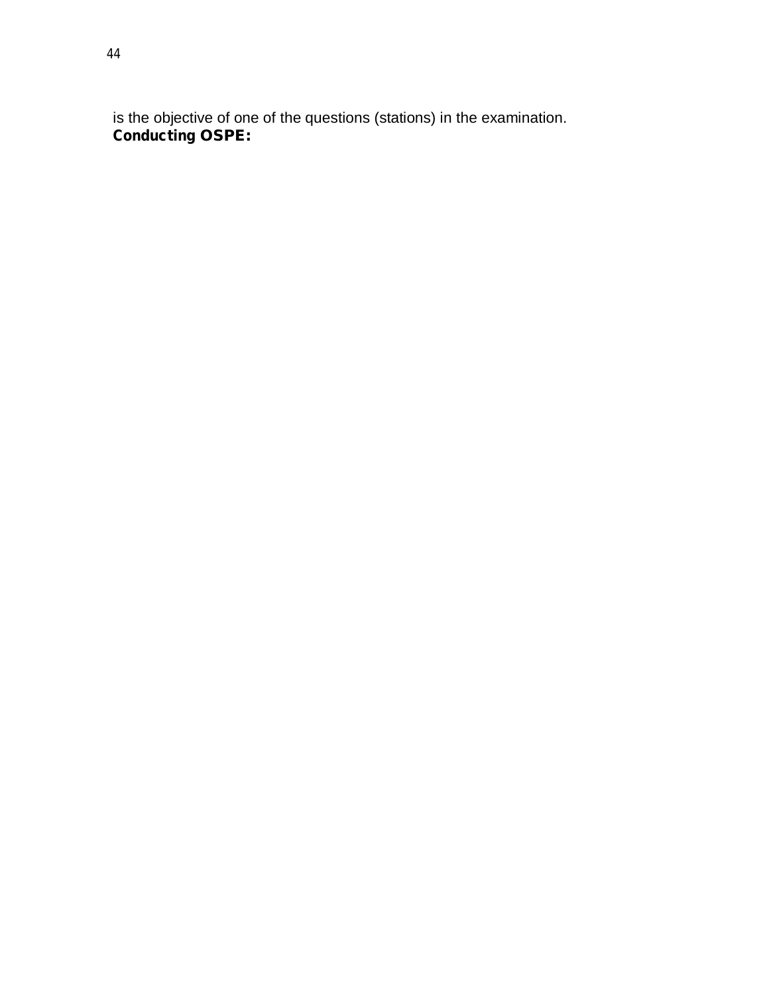is the objective of one of the questions (stations) in the examination. **Conducting OSPE:**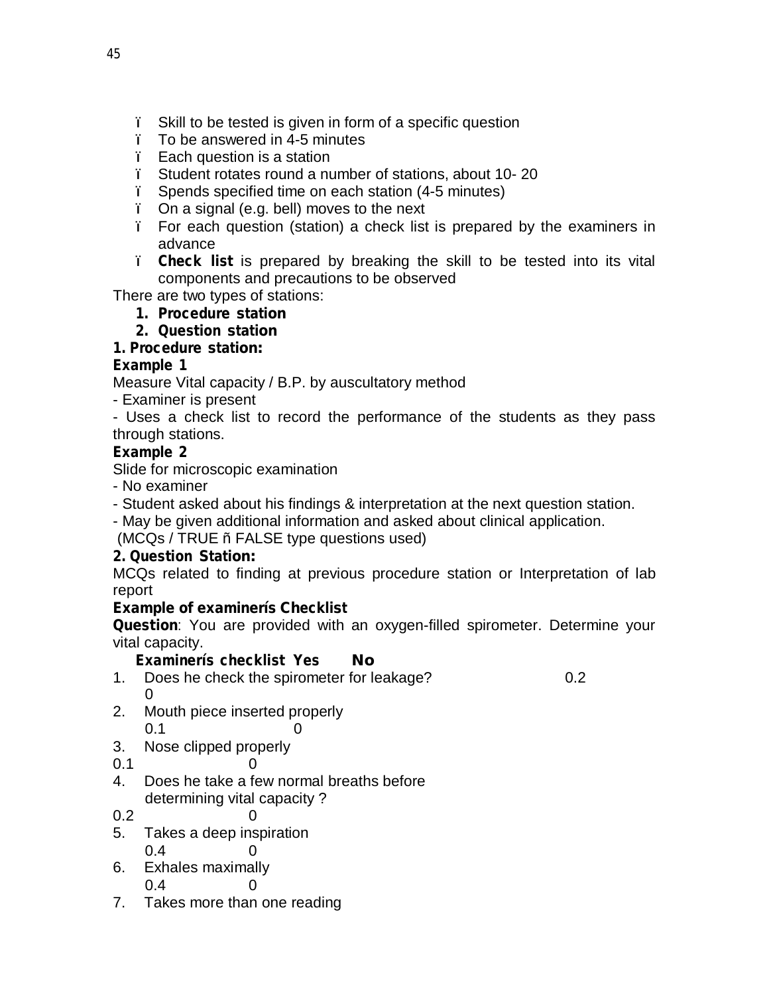- ï Skill to be tested is given in form of a specific question
- ï To be answered in 4-5 minutes
- ï Each question is a station
- ï Student rotates round a number of stations, about 10- 20
- ï Spends specified time on each station (4-5 minutes)
- ï On a signal (e.g. bell) moves to the next
- ï For each question (station) a check list is prepared by the examiners in advance
- ï **Check list** is prepared by breaking the skill to be tested into its vital components and precautions to be observed

There are two types of stations:

- **1. Procedure station**
- **2. Question station**

# **1. Procedure station:**

# **Example 1**

Measure Vital capacity / B.P. by auscultatory method

- Examiner is present
- Uses a check list to record the performance of the students as they pass through stations.

# **Example 2**

Slide for microscopic examination

- No examiner
- Student asked about his findings & interpretation at the next question station.
- May be given additional information and asked about clinical application.

(MCQs / TRUE ñ FALSE type questions used)

# **2. Question Station:**

MCQs related to finding at previous procedure station or Interpretation of lab report

# **Example of examinerís Checklist**

**Question**: You are provided with an oxygen-filled spirometer. Determine your vital capacity.

**Examinerís checklist Yes No**

- 1. Does he check the spirometer for leakage? 0.2  $\Omega$
- 2. Mouth piece inserted properly  $0.1$  0
- 3. Nose clipped properly
- $0.1$  0
- 4. Does he take a few normal breaths before determining vital capacity ?
- $0.2$  0
- 5. Takes a deep inspiration 0.4 0
- 6. Exhales maximally
	- 0.4 0
- 7. Takes more than one reading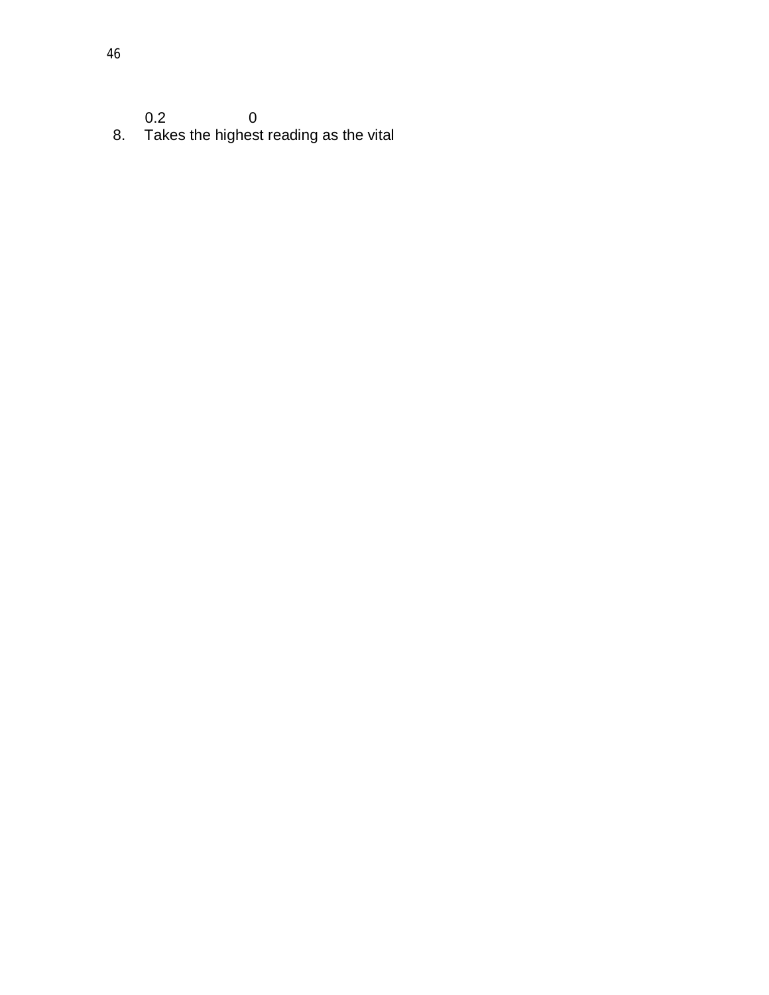$0.2$  0

8. Takes the highest reading as the vital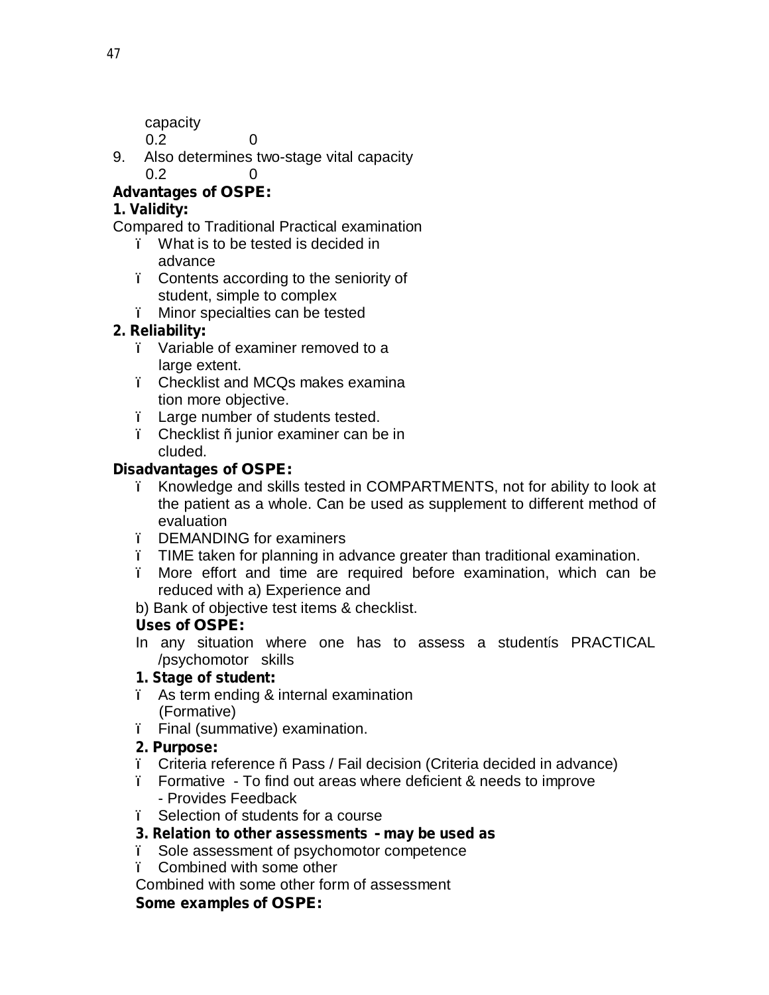capacity 0.2 0

9. Also determines two-stage vital capacity 0.2 0

# **Advantages of OSPE:**

# **1. Validity:**

Compared to Traditional Practical examination

- ï What is to be tested is decided in advance
- ï Contents according to the seniority of student, simple to complex
- ï Minor specialties can be tested

# **2. Reliability:**

- ï Variable of examiner removed to a large extent.
- ï Checklist and MCQs makes examina tion more objective.
- ï Large number of students tested.
- ï Checklist ñ junior examiner can be in cluded.

# **Disadvantages of OSPE:**

- ï Knowledge and skills tested in COMPARTMENTS, not for ability to look at the patient as a whole. Can be used as supplement to different method of evaluation
- ï DEMANDING for examiners
- ï TIME taken for planning in advance greater than traditional examination.
- ï More effort and time are required before examination, which can be reduced with a) Experience and
- b) Bank of objective test items & checklist.

# **Uses of OSPE:**

In any situation where one has to assess a studentís PRACTICAL /psychomotor skills

# **1. Stage of student:**

- ï As term ending & internal examination (Formative)
- ï Final (summative) examination.

# **2. Purpose:**

- ï Criteria reference ñ Pass / Fail decision (Criteria decided in advance)
- ï Formative To find out areas where deficient & needs to improve - Provides Feedback
- ï Selection of students for a course

# **3. Relation to other assessments - may be used as**

- ï Sole assessment of psychomotor competence
- ï Combined with some other

Combined with some other form of assessment

# **Some examples of OSPE:**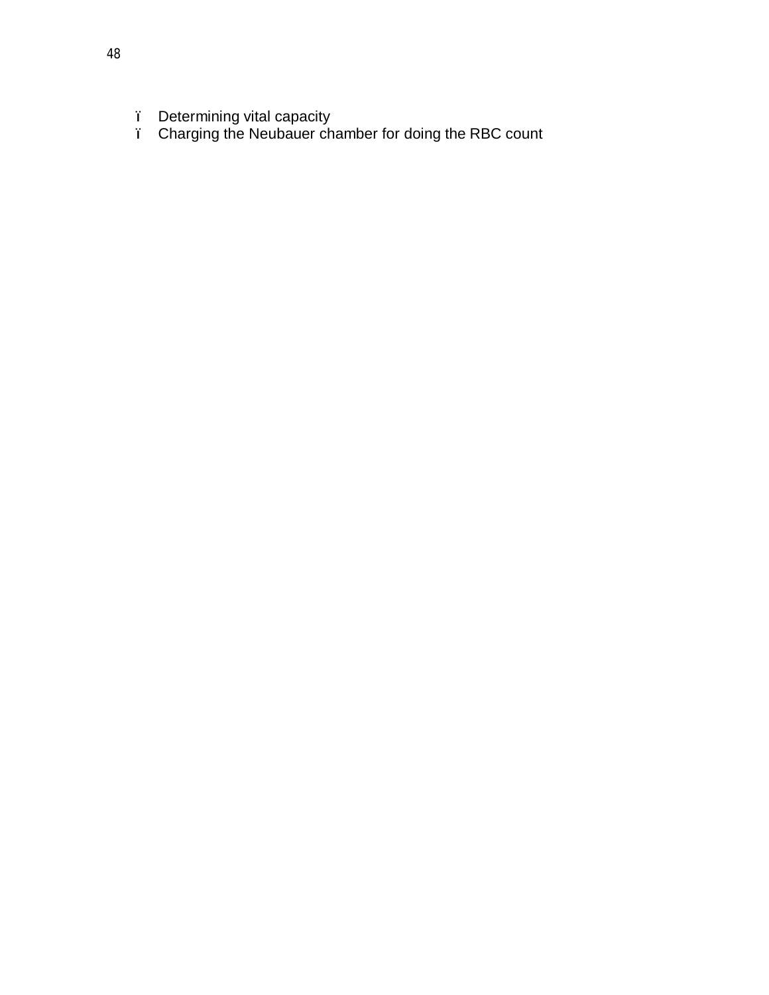- ï Determining vital capacity
- ï Charging the Neubauer chamber for doing the RBC count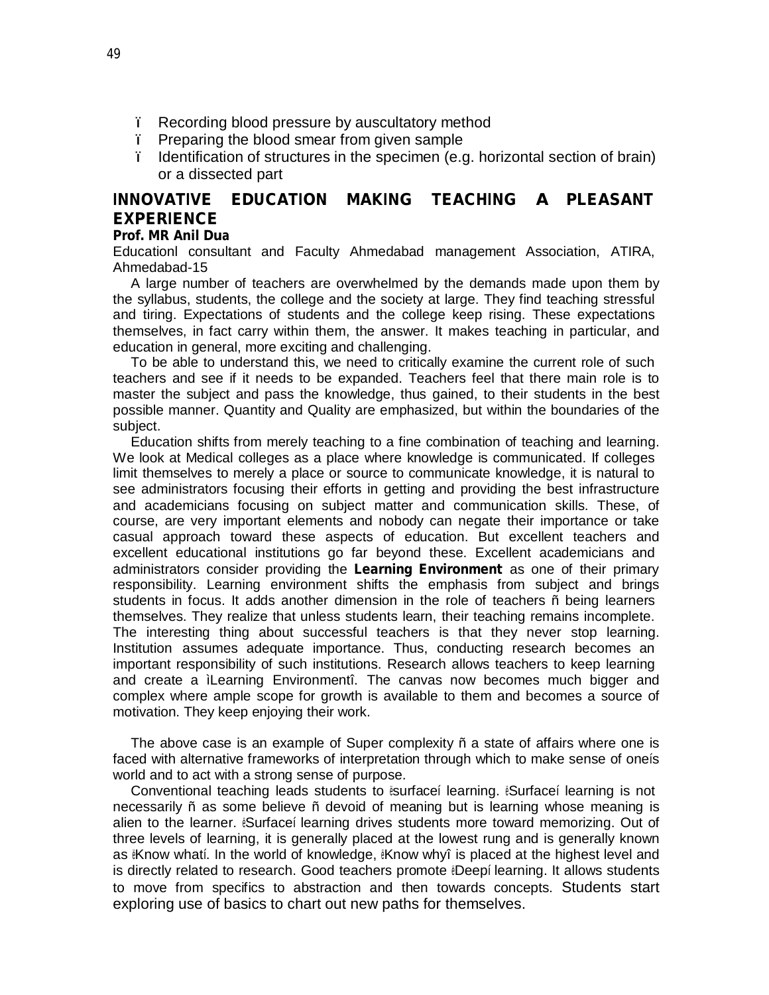- ï Recording blood pressure by auscultatory method
- ï Preparing the blood smear from given sample
- ï Identification of structures in the specimen (e.g. horizontal section of brain) or a dissected part

# **INNOVATIVE EDUCATION MAKING TEACHING A PLEASANT EXPERIENCE**

#### **Prof. MR Anil Dua**

Educationl consultant and Faculty Ahmedabad management Association, ATIRA, Ahmedabad-15

A large number of teachers are overwhelmed by the demands made upon them by the syllabus, students, the college and the society at large. They find teaching stressful and tiring. Expectations of students and the college keep rising. These expectations themselves, in fact carry within them, the answer. It makes teaching in particular, and education in general, more exciting and challenging.

To be able to understand this, we need to critically examine the current role of such teachers and see if it needs to be expanded. Teachers feel that there main role is to master the subject and pass the knowledge, thus gained, to their students in the best possible manner. Quantity and Quality are emphasized, but within the boundaries of the subject.

Education shifts from merely teaching to a fine combination of teaching and learning. We look at Medical colleges as a place where knowledge is communicated. If colleges limit themselves to merely a place or source to communicate knowledge, it is natural to see administrators focusing their efforts in getting and providing the best infrastructure and academicians focusing on subject matter and communication skills. These, of course, are very important elements and nobody can negate their importance or take casual approach toward these aspects of education. But excellent teachers and excellent educational institutions go far beyond these. Excellent academicians and administrators consider providing the **Learning Environment** as one of their primary responsibility. Learning environment shifts the emphasis from subject and brings students in focus. It adds another dimension in the role of teachers ñ being learners themselves. They realize that unless students learn, their teaching remains incomplete. The interesting thing about successful teachers is that they never stop learning. Institution assumes adequate importance. Thus, conducting research becomes an important responsibility of such institutions. Research allows teachers to keep learning and create a ìLearning Environmentî. The canvas now becomes much bigger and complex where ample scope for growth is available to them and becomes a source of motivation. They keep enjoying their work.

The above case is an example of Super complexity ñ a state of affairs where one is faced with alternative frameworks of interpretation through which to make sense of oneís world and to act with a strong sense of purpose.

Conventional teaching leads students to ësurfaceí learning. ëSurfaceí learning is not necessarily ñ as some believe ñ devoid of meaning but is learning whose meaning is alien to the learner. ëSurfaceí learning drives students more toward memorizing. Out of three levels of learning, it is generally placed at the lowest rung and is generally known as ëKnow whatí. In the world of knowledge, ëKnow whyî is placed at the highest level and is directly related to research. Good teachers promote ëDeepí learning. It allows students to move from specifics to abstraction and then towards concepts. Students start exploring use of basics to chart out new paths for themselves.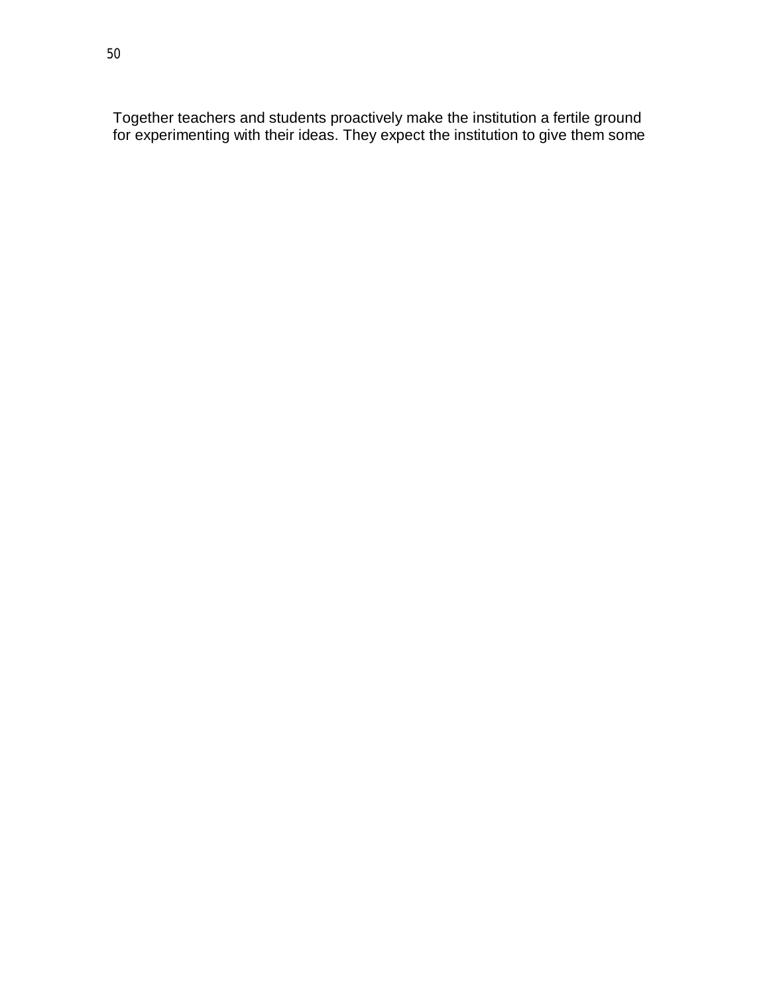Together teachers and students proactively make the institution a fertile ground for experimenting with their ideas. They expect the institution to give them some